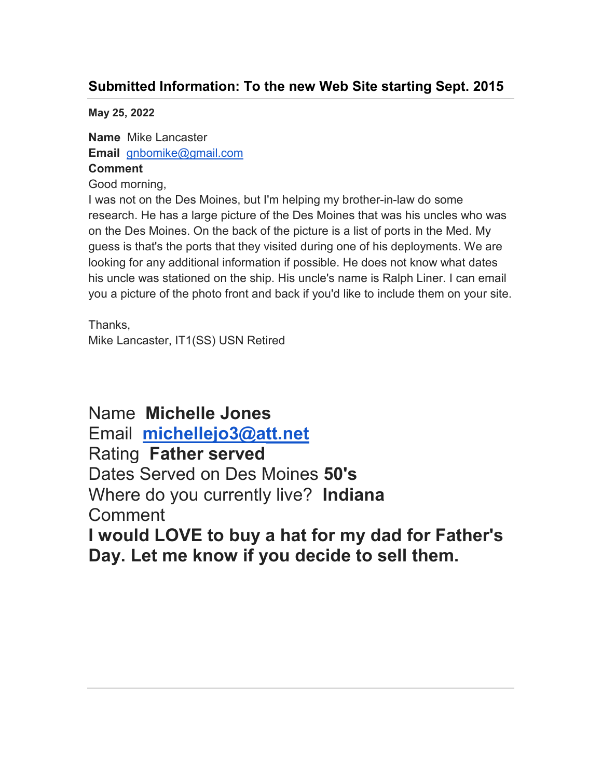## **Submitted Information: To the new Web Site starting Sept. 2015**

**May 25, 2022** 

**Name** Mike Lancaster **Email** gnbomike@gmail.com **Comment**

Good morning,

I was not on the Des Moines, but I'm helping my brother-in-law do some research. He has a large picture of the Des Moines that was his uncles who was on the Des Moines. On the back of the picture is a list of ports in the Med. My guess is that's the ports that they visited during one of his deployments. We are looking for any additional information if possible. He does not know what dates his uncle was stationed on the ship. His uncle's name is Ralph Liner. I can email you a picture of the photo front and back if you'd like to include them on your site.

Thanks, Mike Lancaster, IT1(SS) USN Retired

Name **Michelle Jones**  Email **michellejo3@att.net** Rating **Father served**  Dates Served on Des Moines **50's**  Where do you currently live? **Indiana**  Comment **I would LOVE to buy a hat for my dad for Father's** 

**Day. Let me know if you decide to sell them.**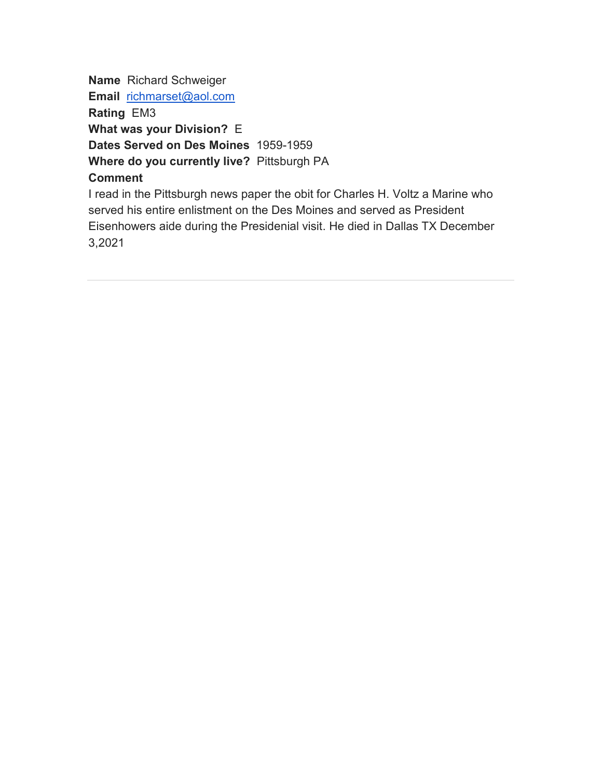**Name** Richard Schweiger **Email** richmarset@aol.com **Rating** EM3 **What was your Division?** E **Dates Served on Des Moines** 1959-1959 **Where do you currently live?** Pittsburgh PA **Comment** I read in the Pittsburgh news paper the obit for Charles H. Voltz a Marine who

served his entire enlistment on the Des Moines and served as President Eisenhowers aide during the Presidenial visit. He died in Dallas TX December 3,2021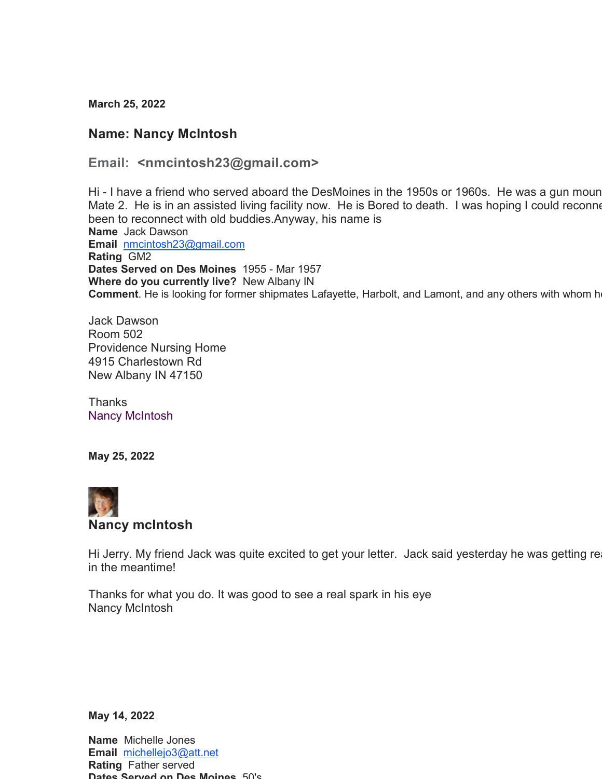**March 25, 2022**

## **Name: Nancy McIntosh**

## **Email: <nmcintosh23@gmail.com>**

Hi - I have a friend who served aboard the DesMoines in the 1950s or 1960s. He was a gun moun Mate 2. He is in an assisted living facility now. He is Bored to death. I was hoping I could reconne been to reconnect with old buddies.Anyway, his name is **Name** Jack Dawson **Email** nmcintosh23@gmail.com **Rating** GM2 **Dates Served on Des Moines** 1955 - Mar 1957 **Where do you currently live?** New Albany IN **Comment**. He is looking for former shipmates Lafayette, Harbolt, and Lamont, and any others with whom h

Jack Dawson Room 502 Providence Nursing Home 4915 Charlestown Rd New Albany IN 47150

Thanks Nancy McIntosh

**May 25, 2022** 



## **Nancy mcIntosh**

Hi Jerry. My friend Jack was quite excited to get your letter. Jack said yesterday he was getting re in the meantime!

Thanks for what you do. It was good to see a real spark in his eye Nancy McIntosh

**May 14, 2022** 

**Name** Michelle Jones **Email** michellejo3@att.net **Rating** Father served **Dates Served on Des Moines** 50's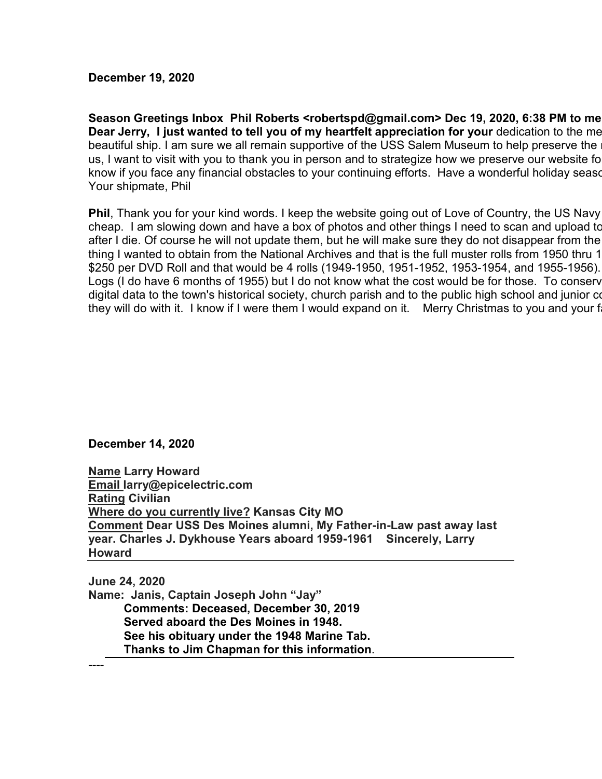**December 19, 2020**

**Season Greetings Inbox Phil Roberts <robertspd@gmail.com> Dec 19, 2020, 6:38 PM to me Dear Jerry, I just wanted to tell you of my heartfelt appreciation for your dedication to the me** beautiful ship. I am sure we all remain supportive of the USS Salem Museum to help preserve the us, I want to visit with you to thank you in person and to strategize how we preserve our website fo know if you face any financial obstacles to your continuing efforts. Have a wonderful holiday sease. Your shipmate, Phil

**Phil**, Thank you for your kind words. I keep the website going out of Love of Country, the US Navy cheap. I am slowing down and have a box of photos and other things I need to scan and upload to after I die. Of course he will not update them, but he will make sure they do not disappear from the thing I wanted to obtain from the National Archives and that is the full muster rolls from 1950 thru 1 \$250 per DVD Roll and that would be 4 rolls (1949-1950, 1951-1952, 1953-1954, and 1955-1956). Logs (I do have 6 months of 1955) but I do not know what the cost would be for those. To conserv digital data to the town's historical society, church parish and to the public high school and junior co they will do with it. I know if I were them I would expand on it. Merry Christmas to you and your f

**December 14, 2020** 

**Name Larry Howard Email larry@epicelectric.com Rating Civilian Where do you currently live? Kansas City MO Comment Dear USS Des Moines alumni, My Father-in-Law past away last year. Charles J. Dykhouse Years aboard 1959-1961 Sincerely, Larry Howard** 

**June 24, 2020 Name: Janis, Captain Joseph John "Jay" Comments: Deceased, December 30, 2019 Served aboard the Des Moines in 1948. See his obituary under the 1948 Marine Tab. Thanks to Jim Chapman for this information**.

----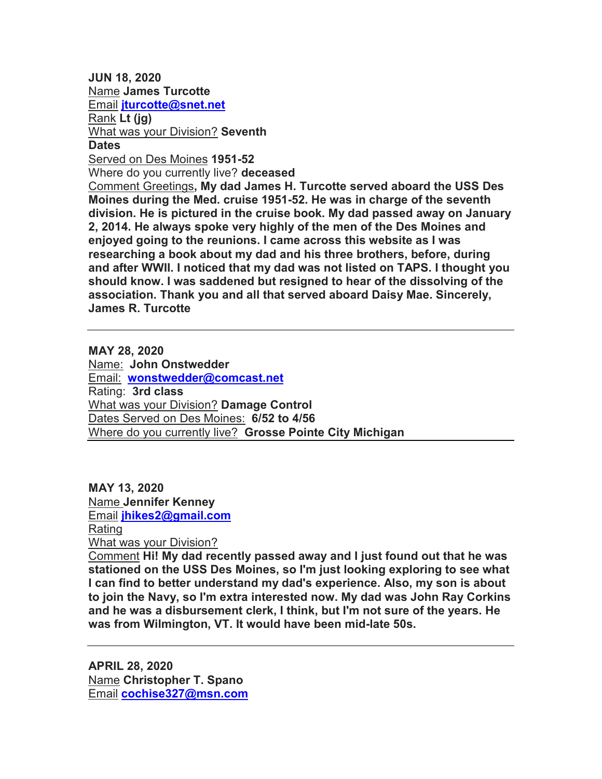**JUN 18, 2020**  Name **James Turcotte**  Email **jturcotte@snet.net**  Rank **Lt (jg)**  What was your Division? **Seventh Dates**  Served on Des Moines **1951-52**  Where do you currently live? **deceased**  Comment Greetings**, My dad James H. Turcotte served aboard the USS Des Moines during the Med. cruise 1951-52. He was in charge of the seventh division. He is pictured in the cruise book. My dad passed away on January 2, 2014. He always spoke very highly of the men of the Des Moines and enjoyed going to the reunions. I came across this website as I was** 

**researching a book about my dad and his three brothers, before, during and after WWII. I noticed that my dad was not listed on TAPS. I thought you should know. I was saddened but resigned to hear of the dissolving of the association. Thank you and all that served aboard Daisy Mae. Sincerely, James R. Turcotte** 

**MAY 28, 2020**  Name: **John Onstwedder**  Email: **wonstwedder@comcast.net**  Rating: **3rd class**  What was your Division? **Damage Control**  Dates Served on Des Moines: **6/52 to 4/56**  Where do you currently live? **Grosse Pointe City Michigan** 

**MAY 13, 2020**  Name **Jennifer Kenney**  Email **jhikes2@gmail.com**  Rating What was your Division?

Comment **Hi! My dad recently passed away and I just found out that he was stationed on the USS Des Moines, so I'm just looking exploring to see what I can find to better understand my dad's experience. Also, my son is about to join the Navy, so I'm extra interested now. My dad was John Ray Corkins and he was a disbursement clerk, I think, but I'm not sure of the years. He was from Wilmington, VT. It would have been mid-late 50s.** 

**APRIL 28, 2020**  Name **Christopher T. Spano**  Email **cochise327@msn.com**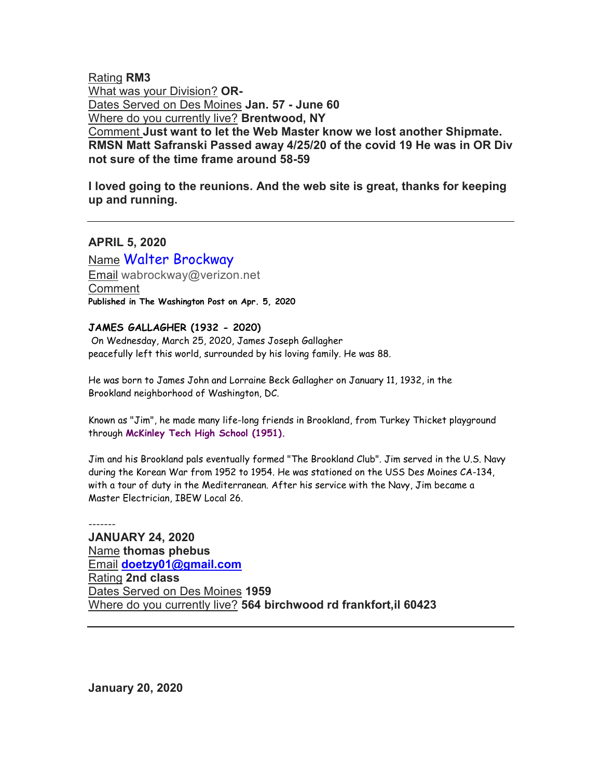Rating **RM3**  What was your Division? **OR-**Dates Served on Des Moines **Jan. 57 - June 60**  Where do you currently live? **Brentwood, NY**  Comment **Just want to let the Web Master know we lost another Shipmate. RMSN Matt Safranski Passed away 4/25/20 of the covid 19 He was in OR Div not sure of the time frame around 58-59** 

**I loved going to the reunions. And the web site is great, thanks for keeping up and running.** 

**APRIL 5, 2020** 

Name Walter Brockway Email wabrockway@verizon.net Comment **Published in The Washington Post on Apr. 5, 2020** 

#### **JAMES GALLAGHER (1932 - 2020)**

 On Wednesday, March 25, 2020, James Joseph Gallagher peacefully left this world, surrounded by his loving family. He was 88.

He was born to James John and Lorraine Beck Gallagher on January 11, 1932, in the Brookland neighborhood of Washington, DC.

Known as "Jim", he made many life-long friends in Brookland, from Turkey Thicket playground through **McKinley Tech High School (1951).**

Jim and his Brookland pals eventually formed "The Brookland Club". Jim served in the U.S. Navy during the Korean War from 1952 to 1954. He was stationed on the USS Des Moines CA-134, with a tour of duty in the Mediterranean. After his service with the Navy, Jim became a Master Electrician, IBEW Local 26.

------- **JANUARY 24, 2020**  Name **thomas phebus**  Email **doetzy01@gmail.com**  Rating **2nd class**  Dates Served on Des Moines **1959**  Where do you currently live? **564 birchwood rd frankfort,il 60423** 

**January 20, 2020**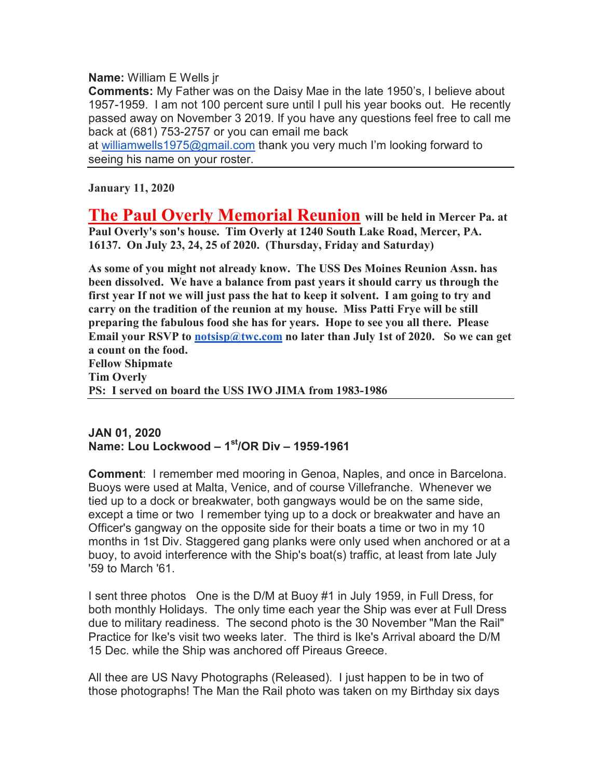**Name:** William E Wells jr

**Comments:** My Father was on the Daisy Mae in the late 1950's, I believe about 1957-1959. I am not 100 percent sure until I pull his year books out. He recently passed away on November 3 2019. If you have any questions feel free to call me back at (681) 753-2757 or you can email me back

at williamwells1975@gmail.com thank you very much I'm looking forward to seeing his name on your roster.

**January 11, 2020**

**The Paul Overly Memorial Reunion will be held in Mercer Pa. at Paul Overly's son's house. Tim Overly at 1240 South Lake Road, Mercer, PA. 16137. On July 23, 24, 25 of 2020. (Thursday, Friday and Saturday)**

**As some of you might not already know. The USS Des Moines Reunion Assn. has been dissolved. We have a balance from past years it should carry us through the first year If not we will just pass the hat to keep it solvent. I am going to try and carry on the tradition of the reunion at my house. Miss Patti Frye will be still preparing the fabulous food she has for years. Hope to see you all there. Please**  Email your RSVP to notsisp@twc.com no later than July 1st of 2020. So we can get **a count on the food. Fellow Shipmate Tim Overly** 

**PS: I served on board the USS IWO JIMA from 1983-1986**

## **JAN 01, 2020 Name: Lou Lockwood – 1st/OR Div – 1959-1961**

**Comment**: I remember med mooring in Genoa, Naples, and once in Barcelona. Buoys were used at Malta, Venice, and of course Villefranche. Whenever we tied up to a dock or breakwater, both gangways would be on the same side, except a time or two I remember tying up to a dock or breakwater and have an Officer's gangway on the opposite side for their boats a time or two in my 10 months in 1st Div. Staggered gang planks were only used when anchored or at a buoy, to avoid interference with the Ship's boat(s) traffic, at least from late July '59 to March '61.

I sent three photos One is the D/M at Buoy #1 in July 1959, in Full Dress, for both monthly Holidays. The only time each year the Ship was ever at Full Dress due to military readiness. The second photo is the 30 November "Man the Rail" Practice for Ike's visit two weeks later. The third is Ike's Arrival aboard the D/M 15 Dec. while the Ship was anchored off Pireaus Greece.

All thee are US Navy Photographs (Released). I just happen to be in two of those photographs! The Man the Rail photo was taken on my Birthday six days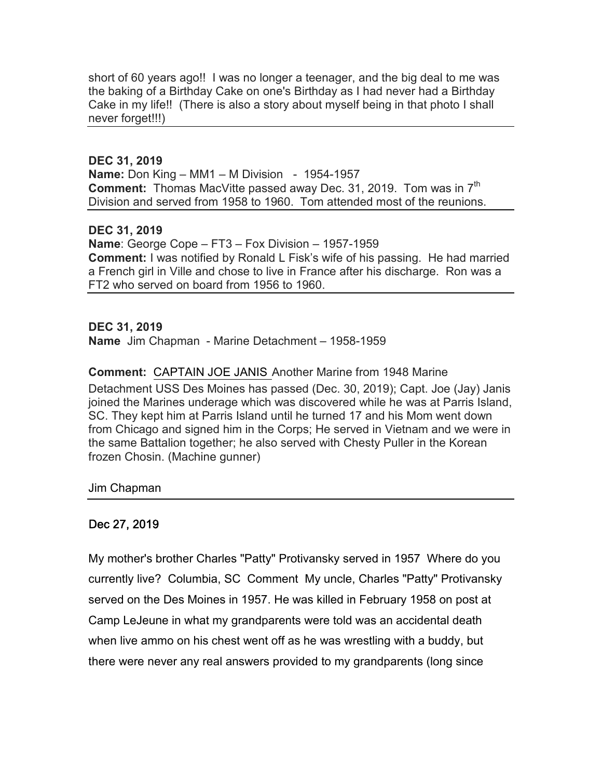short of 60 years ago!! I was no longer a teenager, and the big deal to me was the baking of a Birthday Cake on one's Birthday as I had never had a Birthday Cake in my life!! (There is also a story about myself being in that photo I shall never forget!!!)

## **DEC 31, 2019**

**Name:** Don King – MM1 – M Division - 1954-1957 **Comment:** Thomas MacVitte passed away Dec. 31, 2019. Tom was in 7<sup>th</sup> Division and served from 1958 to 1960. Tom attended most of the reunions.

## **DEC 31, 2019**

**Name**: George Cope – FT3 – Fox Division – 1957-1959 **Comment:** I was notified by Ronald L Fisk's wife of his passing. He had married a French girl in Ville and chose to live in France after his discharge. Ron was a FT2 who served on board from 1956 to 1960.

## **DEC 31, 2019 Name** Jim Chapman - Marine Detachment – 1958-1959

## **Comment:** CAPTAIN JOE JANIS Another Marine from 1948 Marine Detachment USS Des Moines has passed (Dec. 30, 2019); Capt. Joe (Jay) Janis joined the Marines underage which was discovered while he was at Parris Island, SC. They kept him at Parris Island until he turned 17 and his Mom went down

from Chicago and signed him in the Corps; He served in Vietnam and we were in the same Battalion together; he also served with Chesty Puller in the Korean frozen Chosin. (Machine gunner)

Jim Chapman

## Dec 27, 2019

My mother's brother Charles "Patty" Protivansky served in 1957 Where do you currently live? Columbia, SC Comment My uncle, Charles "Patty" Protivansky served on the Des Moines in 1957. He was killed in February 1958 on post at Camp LeJeune in what my grandparents were told was an accidental death when live ammo on his chest went off as he was wrestling with a buddy, but there were never any real answers provided to my grandparents (long since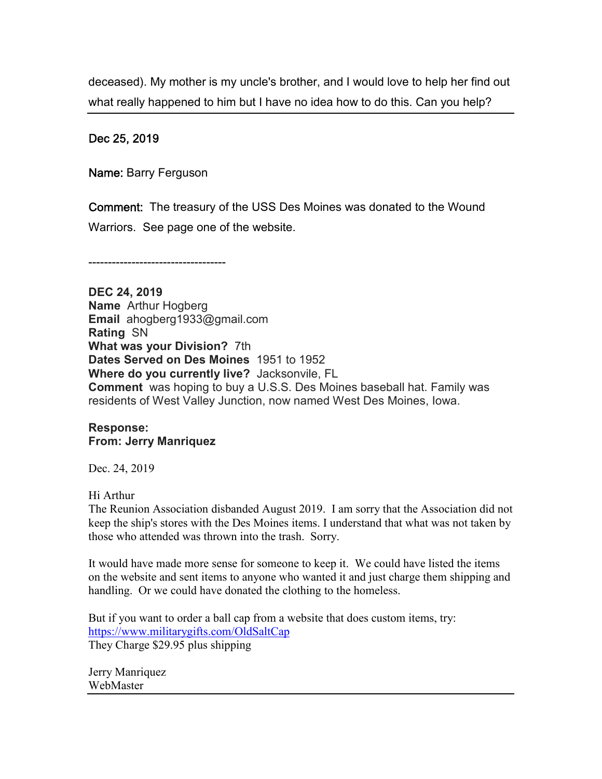deceased). My mother is my uncle's brother, and I would love to help her find out what really happened to him but I have no idea how to do this. Can you help?

#### Dec 25, 2019

Name: Barry Ferguson

Comment: The treasury of the USS Des Moines was donated to the Wound Warriors. See page one of the website.

-----------------------------------

**DEC 24, 2019 Name** Arthur Hogberg **Email** ahogberg1933@gmail.com **Rating** SN **What was your Division?** 7th **Dates Served on Des Moines** 1951 to 1952 **Where do you currently live?** Jacksonvile, FL **Comment** was hoping to buy a U.S.S. Des Moines baseball hat. Family was residents of West Valley Junction, now named West Des Moines, Iowa.

## **Response: From: Jerry Manriquez**

Dec. 24, 2019

Hi Arthur

The Reunion Association disbanded August 2019. I am sorry that the Association did not keep the ship's stores with the Des Moines items. I understand that what was not taken by those who attended was thrown into the trash. Sorry.

It would have made more sense for someone to keep it. We could have listed the items on the website and sent items to anyone who wanted it and just charge them shipping and handling. Or we could have donated the clothing to the homeless.

But if you want to order a ball cap from a website that does custom items, try: https://www.militarygifts.com/OldSaltCap They Charge \$29.95 plus shipping

Jerry Manriquez WebMaster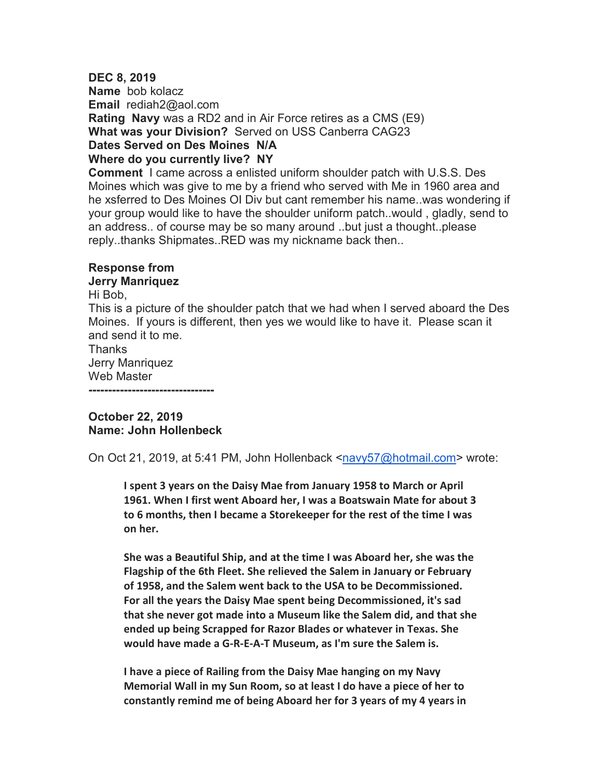## **DEC 8, 2019 Name** bob kolacz **Email** rediah2@aol.com **Rating Navy** was a RD2 and in Air Force retires as a CMS (E9) **What was your Division?** Served on USS Canberra CAG23 **Dates Served on Des Moines N/A Where do you currently live? NY**

**Comment** I came across a enlisted uniform shoulder patch with U.S.S. Des Moines which was give to me by a friend who served with Me in 1960 area and he xsferred to Des Moines OI Div but cant remember his name..was wondering if your group would like to have the shoulder uniform patch..would , gladly, send to an address.. of course may be so many around ..but just a thought..please reply..thanks Shipmates..RED was my nickname back then..

## **Response from**

## **Jerry Manriquez**

Hi Bob,

This is a picture of the shoulder patch that we had when I served aboard the Des Moines. If yours is different, then yes we would like to have it. Please scan it and send it to me.

Thanks Jerry Manriquez Web Master

**--------------------------------** 

## **October 22, 2019 Name: John Hollenbeck**

On Oct 21, 2019, at 5:41 PM, John Hollenback <navy57@hotmail.com> wrote:

**I spent 3 years on the Daisy Mae from January 1958 to March or April 1961. When I first went Aboard her, I was a Boatswain Mate for about 3 to 6 months, then I became a Storekeeper for the rest of the time I was on her.** 

**She was a Beautiful Ship, and at the time I was Aboard her, she was the Flagship of the 6th Fleet. She relieved the Salem in January or February of 1958, and the Salem went back to the USA to be Decommissioned. For all the years the Daisy Mae spent being Decommissioned, it's sad that she never got made into a Museum like the Salem did, and that she ended up being Scrapped for Razor Blades or whatever in Texas. She would have made a G-R-E-A-T Museum, as I'm sure the Salem is.** 

**I have a piece of Railing from the Daisy Mae hanging on my Navy Memorial Wall in my Sun Room, so at least I do have a piece of her to constantly remind me of being Aboard her for 3 years of my 4 years in**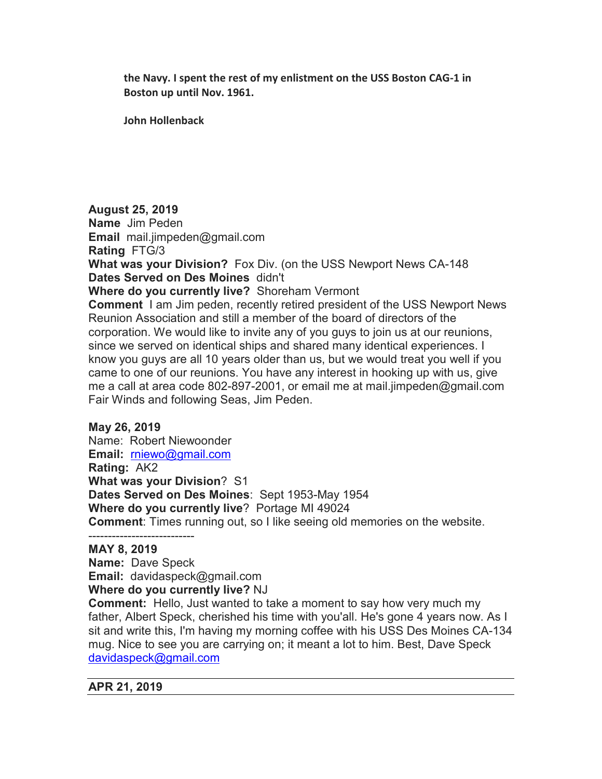**the Navy. I spent the rest of my enlistment on the USS Boston CAG-1 in Boston up until Nov. 1961.**

**John Hollenback**

**August 25, 2019 Name** Jim Peden **Email** mail.jimpeden@gmail.com **Rating** FTG/3 **What was your Division?** Fox Div. (on the USS Newport News CA-148 **Dates Served on Des Moines** didn't **Where do you currently live?** Shoreham Vermont **Comment** I am Jim peden, recently retired president of the USS Newport News Reunion Association and still a member of the board of directors of the corporation. We would like to invite any of you guys to join us at our reunions, since we served on identical ships and shared many identical experiences. I know you guys are all 10 years older than us, but we would treat you well if you came to one of our reunions. You have any interest in hooking up with us, give me a call at area code 802-897-2001, or email me at mail.jimpeden@gmail.com Fair Winds and following Seas, Jim Peden.

## **May 26, 2019**

Name: Robert Niewoonder **Email:** rniewo@gmail.com **Rating:** AK2 **What was your Division**? S1 **Dates Served on Des Moines**: Sept 1953-May 1954 **Where do you currently live**? Portage MI 49024 **Comment**: Times running out, so I like seeing old memories on the website.

#### --------------------------- **MAY 8, 2019**

**Name:** Dave Speck **Email:** davidaspeck@gmail.com **Where do you currently live?** NJ

**Comment:** Hello, Just wanted to take a moment to say how very much my father, Albert Speck, cherished his time with you'all. He's gone 4 years now. As I sit and write this, I'm having my morning coffee with his USS Des Moines CA-134 mug. Nice to see you are carrying on; it meant a lot to him. Best, Dave Speck davidaspeck@gmail.com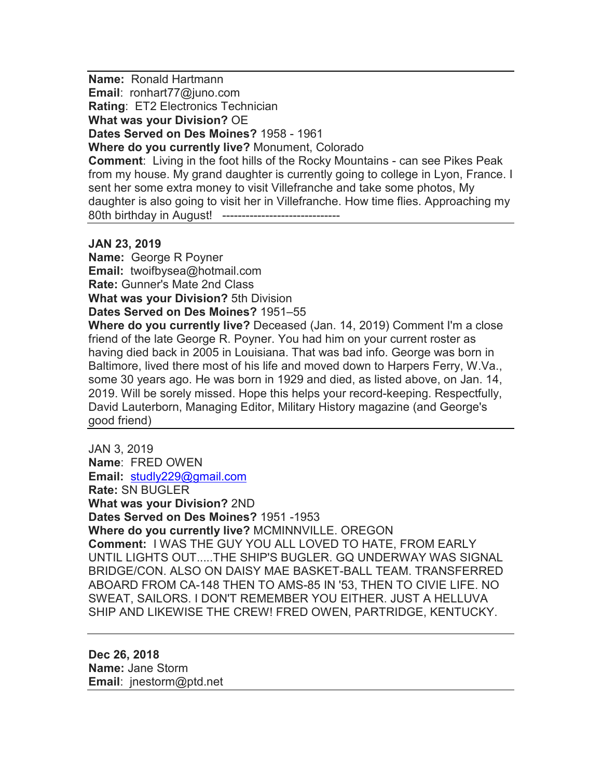**Name:** Ronald Hartmann

**Email**: ronhart77@juno.com

**Rating: ET2 Electronics Technician** 

**What was your Division?** OE

**Dates Served on Des Moines?** 1958 - 1961

**Where do you currently live?** Monument, Colorado

**Comment**: Living in the foot hills of the Rocky Mountains - can see Pikes Peak from my house. My grand daughter is currently going to college in Lyon, France. I sent her some extra money to visit Villefranche and take some photos, My daughter is also going to visit her in Villefranche. How time flies. Approaching my 80th birthday in August! ------------------------------

## **JAN 23, 2019**

**Name:** George R Poyner **Email:** twoifbysea@hotmail.com **Rate:** Gunner's Mate 2nd Class **What was your Division?** 5th Division

**Dates Served on Des Moines?** 1951–55

**Where do you currently live?** Deceased (Jan. 14, 2019) Comment I'm a close friend of the late George R. Poyner. You had him on your current roster as having died back in 2005 in Louisiana. That was bad info. George was born in Baltimore, lived there most of his life and moved down to Harpers Ferry, W.Va., some 30 years ago. He was born in 1929 and died, as listed above, on Jan. 14, 2019. Will be sorely missed. Hope this helps your record-keeping. Respectfully, David Lauterborn, Managing Editor, Military History magazine (and George's good friend)

JAN 3, 2019 **Name**: FRED OWEN **Email:** studly229@gmail.com **Rate:** SN BUGLER **What was your Division?** 2ND **Dates Served on Des Moines?** 1951 -1953 **Where do you currently live?** MCMINNVILLE. OREGON **Comment:** I WAS THE GUY YOU ALL LOVED TO HATE, FROM EARLY UNTIL LIGHTS OUT.....THE SHIP'S BUGLER. GQ UNDERWAY WAS SIGNAL BRIDGE/CON. ALSO ON DAISY MAE BASKET-BALL TEAM. TRANSFERRED ABOARD FROM CA-148 THEN TO AMS-85 IN '53, THEN TO CIVIE LIFE. NO SWEAT, SAILORS. I DON'T REMEMBER YOU EITHER. JUST A HELLUVA SHIP AND LIKEWISE THE CREW! FRED OWEN, PARTRIDGE, KENTUCKY.

**Dec 26, 2018 Name:** Jane Storm **Email**: jnestorm@ptd.net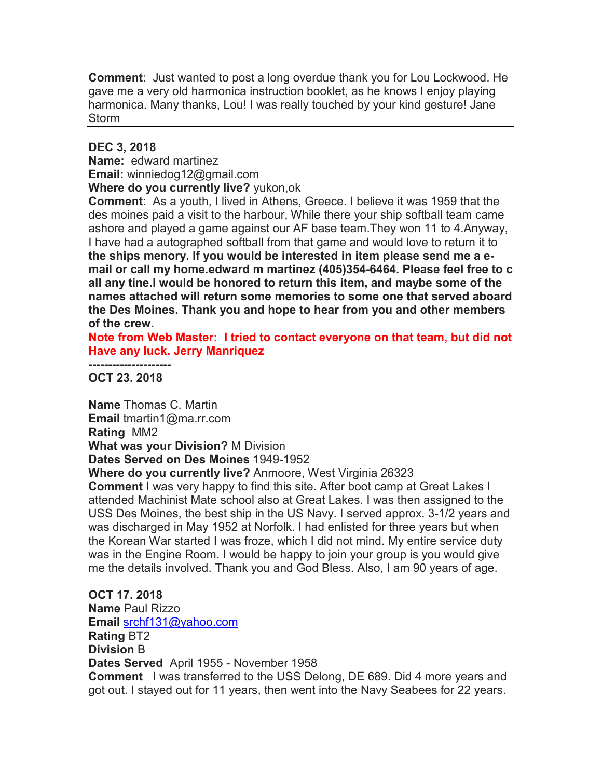**Comment**: Just wanted to post a long overdue thank you for Lou Lockwood. He gave me a very old harmonica instruction booklet, as he knows I enjoy playing harmonica. Many thanks, Lou! I was really touched by your kind gesture! Jane **Storm** 

## **DEC 3, 2018**

**Name:** edward martinez

**Email:** winniedog12@gmail.com

**Where do you currently live?** yukon,ok

**Comment**: As a youth, I lived in Athens, Greece. I believe it was 1959 that the des moines paid a visit to the harbour, While there your ship softball team came ashore and played a game against our AF base team.They won 11 to 4.Anyway, I have had a autographed softball from that game and would love to return it to **the ships menory. If you would be interested in item please send me a email or call my home.edward m martinez (405)354-6464. Please feel free to c all any tine.I would be honored to return this item, and maybe some of the names attached will return some memories to some one that served aboard the Des Moines. Thank you and hope to hear from you and other members of the crew.** 

**Note from Web Master: I tried to contact everyone on that team, but did not Have any luck. Jerry Manriquez**

**--------------------- OCT 23. 2018** 

**Name** Thomas C. Martin **Email** tmartin1@ma.rr.com **Rating** MM2 **What was your Division?** M Division **Dates Served on Des Moines** 1949-1952

**Where do you currently live?** Anmoore, West Virginia 26323

**Comment** I was very happy to find this site. After boot camp at Great Lakes I attended Machinist Mate school also at Great Lakes. I was then assigned to the USS Des Moines, the best ship in the US Navy. I served approx. 3-1/2 years and was discharged in May 1952 at Norfolk. I had enlisted for three years but when the Korean War started I was froze, which I did not mind. My entire service duty was in the Engine Room. I would be happy to join your group is you would give me the details involved. Thank you and God Bless. Also, I am 90 years of age.

**OCT 17. 2018 Name** Paul Rizzo **Email** srchf131@yahoo.com **Rating** BT2 **Division** B **Dates Served** April 1955 - November 1958 **Comment** I was transferred to the USS Delong, DE 689. Did 4 more years and got out. I stayed out for 11 years, then went into the Navy Seabees for 22 years.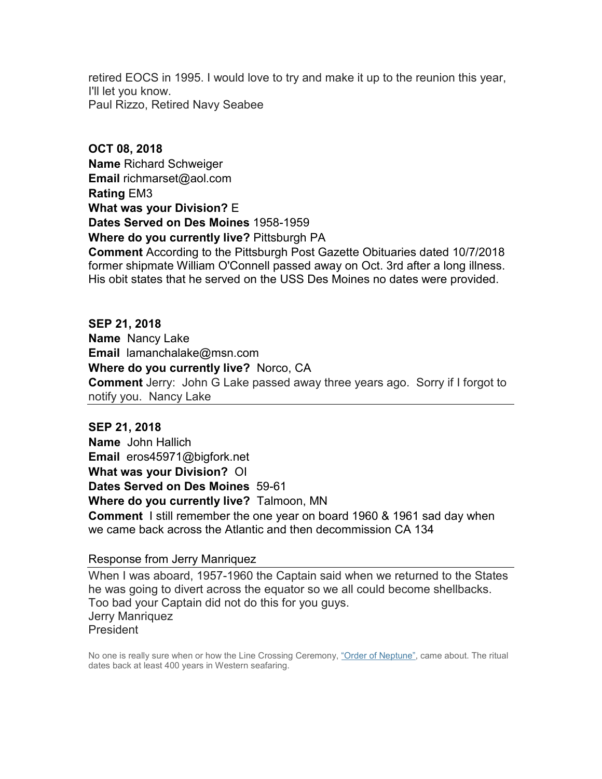retired EOCS in 1995. I would love to try and make it up to the reunion this year, I'll let you know. Paul Rizzo, Retired Navy Seabee

**OCT 08, 2018 Name** Richard Schweiger **Email** richmarset@aol.com **Rating** EM3 **What was your Division?** E **Dates Served on Des Moines** 1958-1959 **Where do you currently live?** Pittsburgh PA **Comment** According to the Pittsburgh Post Gazette Obituaries dated 10/7/2018 former shipmate William O'Connell passed away on Oct. 3rd after a long illness. His obit states that he served on the USS Des Moines no dates were provided.

**SEP 21, 2018 Name** Nancy Lake **Email** lamanchalake@msn.com **Where do you currently live?** Norco, CA **Comment** Jerry: John G Lake passed away three years ago. Sorry if I forgot to notify you. Nancy Lake

**SEP 21, 2018 Name** John Hallich **Email** eros45971@bigfork.net **What was your Division?** OI **Dates Served on Des Moines** 59-61 **Where do you currently live?** Talmoon, MN **Comment** I still remember the one year on board 1960 & 1961 sad day when we came back across the Atlantic and then decommission CA 134

Response from Jerry Manriquez

When I was aboard, 1957-1960 the Captain said when we returned to the States he was going to divert across the equator so we all could become shellbacks. Too bad your Captain did not do this for you guys. Jerry Manriquez **President** 

No one is really sure when or how the Line Crossing Ceremony, "Order of Neptune", came about. The ritual dates back at least 400 years in Western seafaring.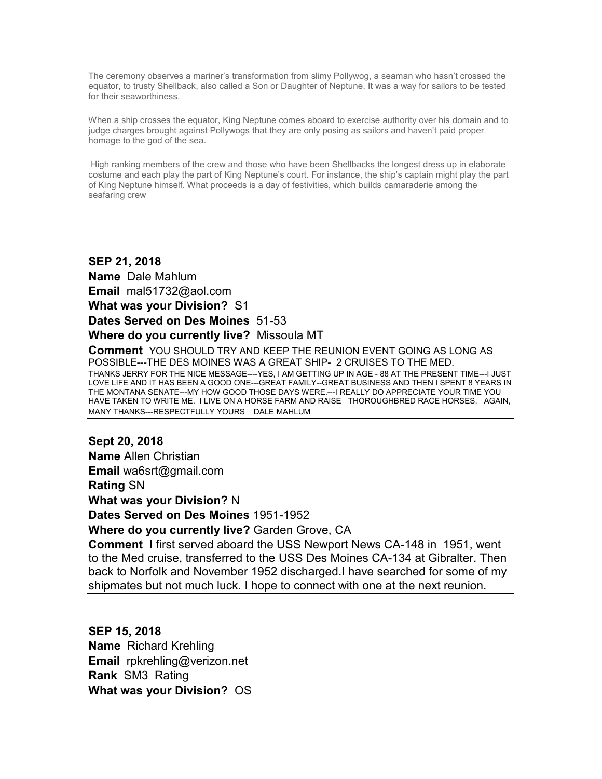The ceremony observes a mariner's transformation from slimy Pollywog, a seaman who hasn't crossed the equator, to trusty Shellback, also called a Son or Daughter of Neptune. It was a way for sailors to be tested for their seaworthiness.

When a ship crosses the equator, King Neptune comes aboard to exercise authority over his domain and to judge charges brought against Pollywogs that they are only posing as sailors and haven't paid proper homage to the god of the sea.

 High ranking members of the crew and those who have been Shellbacks the longest dress up in elaborate costume and each play the part of King Neptune's court. For instance, the ship's captain might play the part of King Neptune himself. What proceeds is a day of festivities, which builds camaraderie among the seafaring crew

## **SEP 21, 2018**

**Name** Dale Mahlum **Email** mal51732@aol.com

**What was your Division?** S1

**Dates Served on Des Moines** 51-53

#### **Where do you currently live?** Missoula MT

**Comment** YOU SHOULD TRY AND KEEP THE REUNION EVENT GOING AS LONG AS POSSIBLE---THE DES MOINES WAS A GREAT SHIP- 2 CRUISES TO THE MED.

THANKS JERRY FOR THE NICE MESSAGE----YES, I AM GETTING UP IN AGE - 88 AT THE PRESENT TIME---I JUST LOVE LIFE AND IT HAS BEEN A GOOD ONE---GREAT FAMILY--GREAT BUSINESS AND THEN I SPENT 8 YEARS IN THE MONTANA SENATE---MY HOW GOOD THOSE DAYS WERE.---I REALLY DO APPRECIATE YOUR TIME YOU HAVE TAKEN TO WRITE ME. I LIVE ON A HORSE FARM AND RAISE THOROUGHBRED RACE HORSES. AGAIN, MANY THANKS---RESPECTFULLY YOURS DALE MAHLUM

# **Sept 20, 2018**

**Name** Allen Christian

**Email** wa6srt@gmail.com

**Rating** SN

**What was your Division?** N

**Dates Served on Des Moines** 1951-1952

**Where do you currently live?** Garden Grove, CA

**Comment** I first served aboard the USS Newport News CA-148 in 1951, went to the Med cruise, transferred to the USS Des Moines CA-134 at Gibralter. Then back to Norfolk and November 1952 discharged.I have searched for some of my shipmates but not much luck. I hope to connect with one at the next reunion.

## **SEP 15, 2018 Name** Richard Krehling **Email** rpkrehling@verizon.net **Rank** SM3 Rating **What was your Division?** OS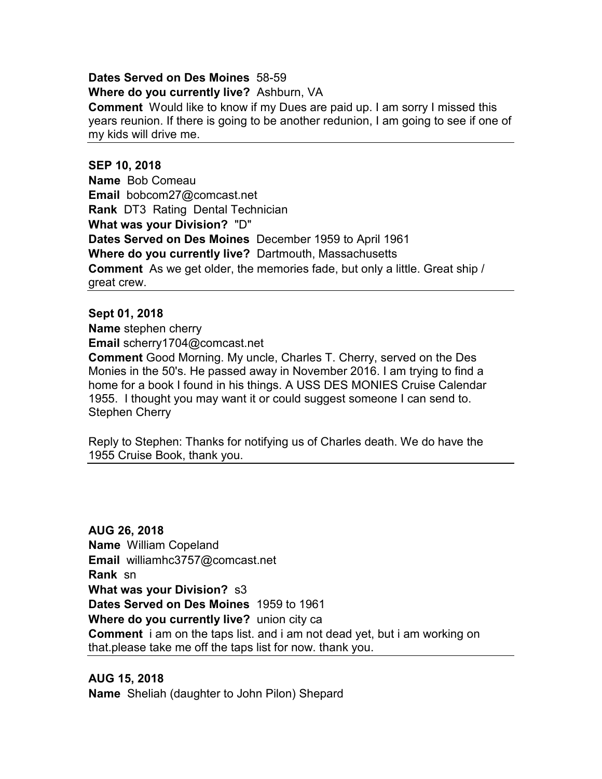#### **Dates Served on Des Moines** 58-59

**Where do you currently live?** Ashburn, VA

**Comment** Would like to know if my Dues are paid up. I am sorry I missed this years reunion. If there is going to be another redunion, I am going to see if one of my kids will drive me.

#### **SEP 10, 2018**

**Name** Bob Comeau **Email** bobcom27@comcast.net **Rank** DT3 Rating Dental Technician **What was your Division?** "D" **Dates Served on Des Moines** December 1959 to April 1961 **Where do you currently live?** Dartmouth, Massachusetts **Comment** As we get older, the memories fade, but only a little. Great ship / great crew.

#### **Sept 01, 2018**

**Name** stephen cherry

**Email** scherry1704@comcast.net

**Comment** Good Morning. My uncle, Charles T. Cherry, served on the Des Monies in the 50's. He passed away in November 2016. I am trying to find a home for a book I found in his things. A USS DES MONIES Cruise Calendar 1955. I thought you may want it or could suggest someone I can send to. Stephen Cherry

Reply to Stephen: Thanks for notifying us of Charles death. We do have the 1955 Cruise Book, thank you.

**AUG 26, 2018 Name** William Copeland **Email** williamhc3757@comcast.net **Rank** sn **What was your Division?** s3 **Dates Served on Des Moines** 1959 to 1961 **Where do you currently live?** union city ca **Comment** i am on the taps list. and i am not dead yet, but i am working on that.please take me off the taps list for now. thank you.

#### **AUG 15, 2018**

**Name** Sheliah (daughter to John Pilon) Shepard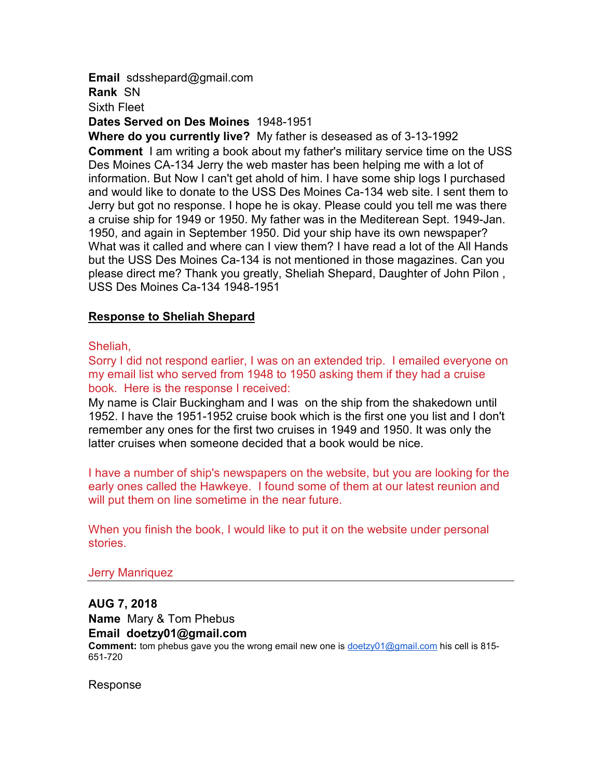**Email** sdsshepard@gmail.com

**Rank** SN

Sixth Fleet

**Dates Served on Des Moines** 1948-1951

**Where do you currently live?** My father is deseased as of 3-13-1992 **Comment** I am writing a book about my father's military service time on the USS Des Moines CA-134 Jerry the web master has been helping me with a lot of information. But Now I can't get ahold of him. I have some ship logs I purchased and would like to donate to the USS Des Moines Ca-134 web site. I sent them to Jerry but got no response. I hope he is okay. Please could you tell me was there a cruise ship for 1949 or 1950. My father was in the Mediterean Sept. 1949-Jan. 1950, and again in September 1950. Did your ship have its own newspaper? What was it called and where can I view them? I have read a lot of the All Hands but the USS Des Moines Ca-134 is not mentioned in those magazines. Can you please direct me? Thank you greatly, Sheliah Shepard, Daughter of John Pilon , USS Des Moines Ca-134 1948-1951

## **Response to Sheliah Shepard**

Sheliah,

Sorry I did not respond earlier, I was on an extended trip. I emailed everyone on my email list who served from 1948 to 1950 asking them if they had a cruise book. Here is the response I received:

My name is Clair Buckingham and I was on the ship from the shakedown until 1952. I have the 1951-1952 cruise book which is the first one you list and I don't remember any ones for the first two cruises in 1949 and 1950. It was only the latter cruises when someone decided that a book would be nice.

I have a number of ship's newspapers on the website, but you are looking for the early ones called the Hawkeye. I found some of them at our latest reunion and will put them on line sometime in the near future.

When you finish the book, I would like to put it on the website under personal stories.

## Jerry Manriquez

**AUG 7, 2018 Name** Mary & Tom Phebus **Email doetzy01@gmail.com Comment:** tom phebus gave you the wrong email new one is doetzy01@gmail.com his cell is 815- 651-720

Response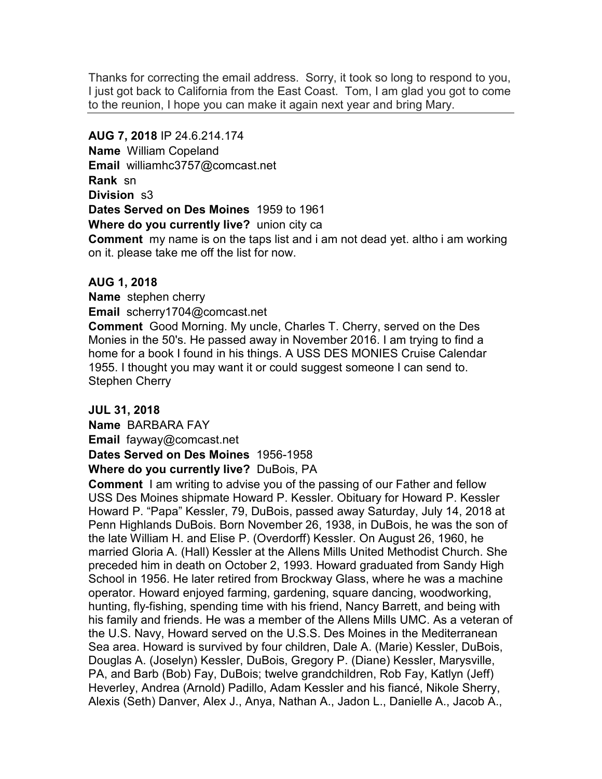Thanks for correcting the email address. Sorry, it took so long to respond to you, I just got back to California from the East Coast. Tom, I am glad you got to come to the reunion, I hope you can make it again next year and bring Mary.

## **AUG 7, 2018** IP 24.6.214.174

**Name** William Copeland **Email** williamhc3757@comcast.net **Rank** sn **Division** s3 **Dates Served on Des Moines** 1959 to 1961 **Where do you currently live?** union city ca

**Comment** my name is on the taps list and i am not dead yet. altho i am working on it. please take me off the list for now.

## **AUG 1, 2018**

**Name** stephen cherry **Email** scherry1704@comcast.net

**Comment** Good Morning. My uncle, Charles T. Cherry, served on the Des Monies in the 50's. He passed away in November 2016. I am trying to find a home for a book I found in his things. A USS DES MONIES Cruise Calendar 1955. I thought you may want it or could suggest someone I can send to. Stephen Cherry

## **JUL 31, 2018**

**Name** BARBARA FAY **Email** fayway@comcast.net **Dates Served on Des Moines** 1956-1958

**Where do you currently live?** DuBois, PA

**Comment** I am writing to advise you of the passing of our Father and fellow USS Des Moines shipmate Howard P. Kessler. Obituary for Howard P. Kessler Howard P. "Papa" Kessler, 79, DuBois, passed away Saturday, July 14, 2018 at Penn Highlands DuBois. Born November 26, 1938, in DuBois, he was the son of the late William H. and Elise P. (Overdorff) Kessler. On August 26, 1960, he married Gloria A. (Hall) Kessler at the Allens Mills United Methodist Church. She preceded him in death on October 2, 1993. Howard graduated from Sandy High School in 1956. He later retired from Brockway Glass, where he was a machine operator. Howard enjoyed farming, gardening, square dancing, woodworking, hunting, fly-fishing, spending time with his friend, Nancy Barrett, and being with his family and friends. He was a member of the Allens Mills UMC. As a veteran of the U.S. Navy, Howard served on the U.S.S. Des Moines in the Mediterranean Sea area. Howard is survived by four children, Dale A. (Marie) Kessler, DuBois, Douglas A. (Joselyn) Kessler, DuBois, Gregory P. (Diane) Kessler, Marysville, PA, and Barb (Bob) Fay, DuBois; twelve grandchildren, Rob Fay, Katlyn (Jeff) Heverley, Andrea (Arnold) Padillo, Adam Kessler and his fiancé, Nikole Sherry, Alexis (Seth) Danver, Alex J., Anya, Nathan A., Jadon L., Danielle A., Jacob A.,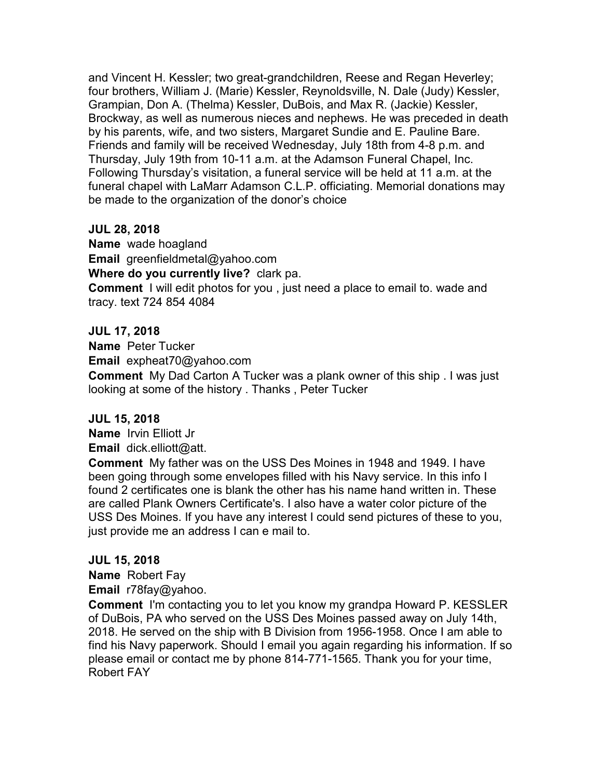and Vincent H. Kessler; two great-grandchildren, Reese and Regan Heverley; four brothers, William J. (Marie) Kessler, Reynoldsville, N. Dale (Judy) Kessler, Grampian, Don A. (Thelma) Kessler, DuBois, and Max R. (Jackie) Kessler, Brockway, as well as numerous nieces and nephews. He was preceded in death by his parents, wife, and two sisters, Margaret Sundie and E. Pauline Bare. Friends and family will be received Wednesday, July 18th from 4-8 p.m. and Thursday, July 19th from 10-11 a.m. at the Adamson Funeral Chapel, Inc. Following Thursday's visitation, a funeral service will be held at 11 a.m. at the funeral chapel with LaMarr Adamson C.L.P. officiating. Memorial donations may be made to the organization of the donor's choice

## **JUL 28, 2018**

**Name** wade hoagland **Email** greenfieldmetal@yahoo.com **Where do you currently live?** clark pa. **Comment** I will edit photos for you , just need a place to email to. wade and tracy. text 724 854 4084

## **JUL 17, 2018**

**Name** Peter Tucker **Email** expheat70@yahoo.com

**Comment** My Dad Carton A Tucker was a plank owner of this ship . I was just looking at some of the history . Thanks , Peter Tucker

## **JUL 15, 2018**

**Name** Irvin Elliott Jr **Email** dick.elliott@att.

**Comment** My father was on the USS Des Moines in 1948 and 1949. I have been going through some envelopes filled with his Navy service. In this info I found 2 certificates one is blank the other has his name hand written in. These are called Plank Owners Certificate's. I also have a water color picture of the USS Des Moines. If you have any interest I could send pictures of these to you, just provide me an address I can e mail to.

## **JUL 15, 2018**

**Name** Robert Fay

**Email** r78fay@yahoo.

**Comment** I'm contacting you to let you know my grandpa Howard P. KESSLER of DuBois, PA who served on the USS Des Moines passed away on July 14th, 2018. He served on the ship with B Division from 1956-1958. Once I am able to find his Navy paperwork. Should I email you again regarding his information. If so please email or contact me by phone 814-771-1565. Thank you for your time, Robert FAY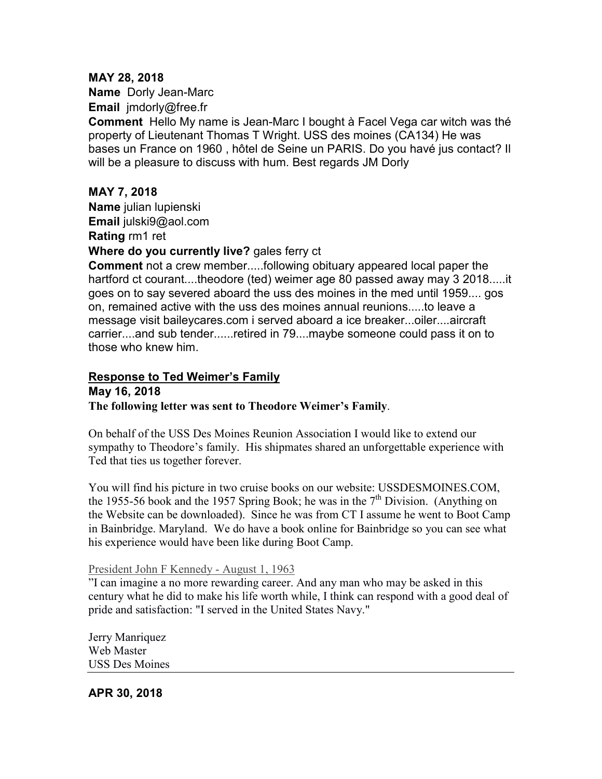## **MAY 28, 2018**

**Name** Dorly Jean-Marc **Email** jmdorly@free.fr

**Comment** Hello My name is Jean-Marc I bought à Facel Vega car witch was thé property of Lieutenant Thomas T Wright. USS des moines (CA134) He was bases un France on 1960 , hôtel de Seine un PARIS. Do you havé jus contact? Il will be a pleasure to discuss with hum. Best regards JM Dorly

## **MAY 7, 2018**

**Name** julian lupienski **Email** julski9@aol.com **Rating** rm1 ret

## **Where do you currently live?** gales ferry ct

**Comment** not a crew member.....following obituary appeared local paper the hartford ct courant....theodore (ted) weimer age 80 passed away may 3 2018.....it goes on to say severed aboard the uss des moines in the med until 1959.... gos on, remained active with the uss des moines annual reunions.....to leave a message visit baileycares.com i served aboard a ice breaker...oiler....aircraft carrier....and sub tender......retired in 79....maybe someone could pass it on to those who knew him.

#### **Response to Ted Weimer's Family May 16, 2018**

## **The following letter was sent to Theodore Weimer's Family**.

On behalf of the USS Des Moines Reunion Association I would like to extend our sympathy to Theodore's family. His shipmates shared an unforgettable experience with Ted that ties us together forever.

You will find his picture in two cruise books on our website: USSDESMOINES.COM, the 1955-56 book and the 1957 Spring Book; he was in the  $7<sup>th</sup>$  Division. (Anything on the Website can be downloaded). Since he was from CT I assume he went to Boot Camp in Bainbridge. Maryland. We do have a book online for Bainbridge so you can see what his experience would have been like during Boot Camp.

## President John F Kennedy - August 1, 1963

"I can imagine a no more rewarding career. And any man who may be asked in this century what he did to make his life worth while, I think can respond with a good deal of pride and satisfaction: "I served in the United States Navy."

Jerry Manriquez Web Master USS Des Moines

## **APR 30, 2018**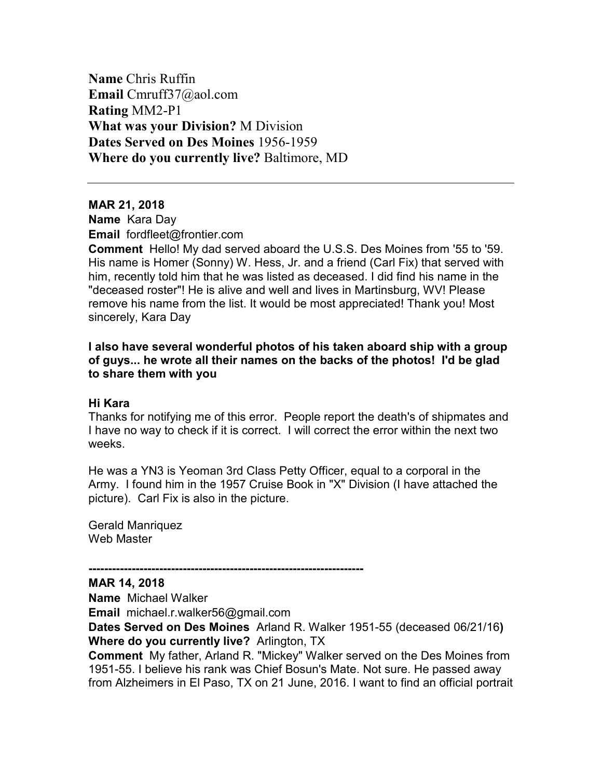**Name** Chris Ruffin **Email** Cmruff37@aol.com **Rating** MM2-P1 **What was your Division?** M Division **Dates Served on Des Moines** 1956-1959 **Where do you currently live?** Baltimore, MD

#### **MAR 21, 2018**

**Name** Kara Day **Email** fordfleet@frontier.com

**Comment** Hello! My dad served aboard the U.S.S. Des Moines from '55 to '59. His name is Homer (Sonny) W. Hess, Jr. and a friend (Carl Fix) that served with him, recently told him that he was listed as deceased. I did find his name in the "deceased roster"! He is alive and well and lives in Martinsburg, WV! Please remove his name from the list. It would be most appreciated! Thank you! Most sincerely, Kara Day

## **I also have several wonderful photos of his taken aboard ship with a group of guys... he wrote all their names on the backs of the photos! I'd be glad to share them with you**

#### **Hi Kara**

Thanks for notifying me of this error. People report the death's of shipmates and I have no way to check if it is correct. I will correct the error within the next two weeks.

He was a YN3 is Yeoman 3rd Class Petty Officer, equal to a corporal in the Army. I found him in the 1957 Cruise Book in "X" Division (I have attached the picture). Carl Fix is also in the picture.

Gerald Manriquez Web Master

**MAR 14, 2018** 

**Name** Michael Walker

**Email** michael.r.walker56@gmail.com

**----------------------------------------------------------------------** 

**Dates Served on Des Moines** Arland R. Walker 1951-55 (deceased 06/21/16**) Where do you currently live?** Arlington, TX

**Comment** My father, Arland R. "Mickey" Walker served on the Des Moines from 1951-55. I believe his rank was Chief Bosun's Mate. Not sure. He passed away from Alzheimers in El Paso, TX on 21 June, 2016. I want to find an official portrait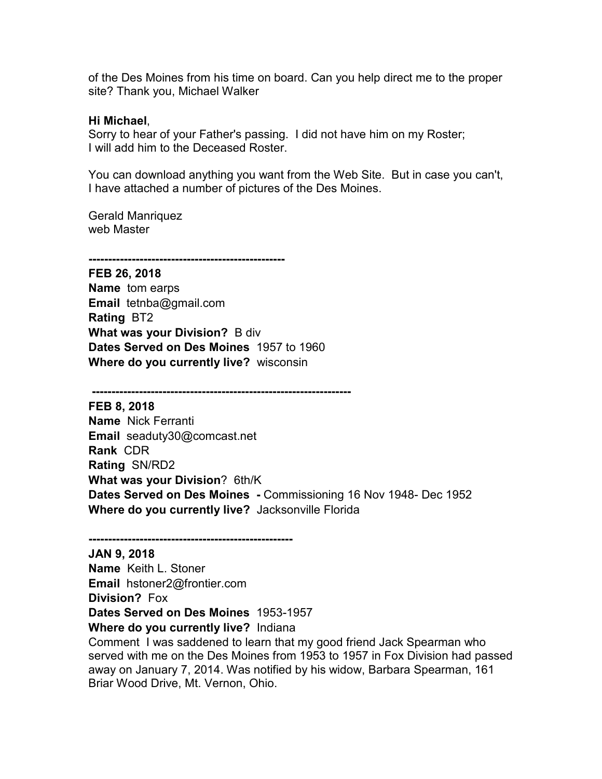of the Des Moines from his time on board. Can you help direct me to the proper site? Thank you, Michael Walker

#### **Hi Michael**,

Sorry to hear of your Father's passing. I did not have him on my Roster; I will add him to the Deceased Roster.

You can download anything you want from the Web Site. But in case you can't, I have attached a number of pictures of the Des Moines.

Gerald Manriquez web Master

**--------------------------------------------------** 

**FEB 26, 2018 Name** tom earps **Email** tetnba@gmail.com **Rating** BT2 **What was your Division?** B div **Dates Served on Des Moines** 1957 to 1960 **Where do you currently live?** wisconsin

 **------------------------------------------------------------------** 

**FEB 8, 2018 Name** Nick Ferranti **Email** seaduty30@comcast.net **Rank** CDR **Rating** SN/RD2 **What was your Division**? 6th/K **Dates Served on Des Moines -** Commissioning 16 Nov 1948- Dec 1952 **Where do you currently live?** Jacksonville Florida

**JAN 9, 2018 Name** Keith L. Stoner **Email** hstoner2@frontier.com **Division?** Fox **Dates Served on Des Moines** 1953-1957 **Where do you currently live?** Indiana

**----------------------------------------------------** 

Comment I was saddened to learn that my good friend Jack Spearman who served with me on the Des Moines from 1953 to 1957 in Fox Division had passed away on January 7, 2014. Was notified by his widow, Barbara Spearman, 161 Briar Wood Drive, Mt. Vernon, Ohio.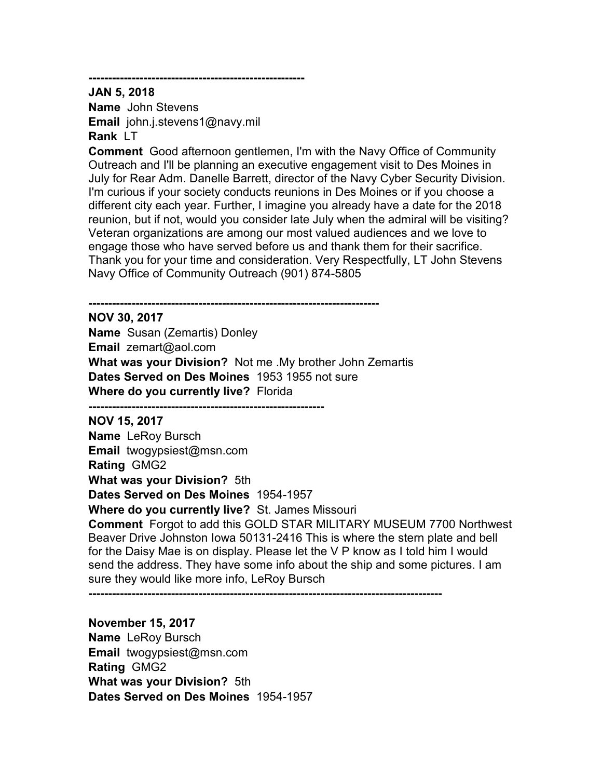**-------------------------------------------------------** 

**JAN 5, 2018 Name** John Stevens **Email** john.j.stevens1@navy.mil **Rank** LT

**Comment** Good afternoon gentlemen, I'm with the Navy Office of Community Outreach and I'll be planning an executive engagement visit to Des Moines in July for Rear Adm. Danelle Barrett, director of the Navy Cyber Security Division. I'm curious if your society conducts reunions in Des Moines or if you choose a different city each year. Further, I imagine you already have a date for the 2018 reunion, but if not, would you consider late July when the admiral will be visiting? Veteran organizations are among our most valued audiences and we love to engage those who have served before us and thank them for their sacrifice. Thank you for your time and consideration. Very Respectfully, LT John Stevens Navy Office of Community Outreach (901) 874-5805

**-------------------------------------------------------------------------- NOV 30, 2017 Name** Susan (Zemartis) Donley **Email** zemart@aol.com **What was your Division?** Not me .My brother John Zemartis **Dates Served on Des Moines** 1953 1955 not sure **Where do you currently live?** Florida

**------------------------------------------------------------ NOV 15, 2017 Name** LeRoy Bursch **Email** twogypsiest@msn.com **Rating** GMG2 **What was your Division?** 5th

**Dates Served on Des Moines** 1954-1957

**Where do you currently live?** St. James Missouri

**Comment** Forgot to add this GOLD STAR MILITARY MUSEUM 7700 Northwest Beaver Drive Johnston Iowa 50131-2416 This is where the stern plate and bell for the Daisy Mae is on display. Please let the V P know as I told him I would send the address. They have some info about the ship and some pictures. I am sure they would like more info, LeRoy Bursch

**------------------------------------------------------------------------------------------** 

**November 15, 2017 Name** LeRoy Bursch **Email** twogypsiest@msn.com **Rating** GMG2 **What was your Division?** 5th **Dates Served on Des Moines** 1954-1957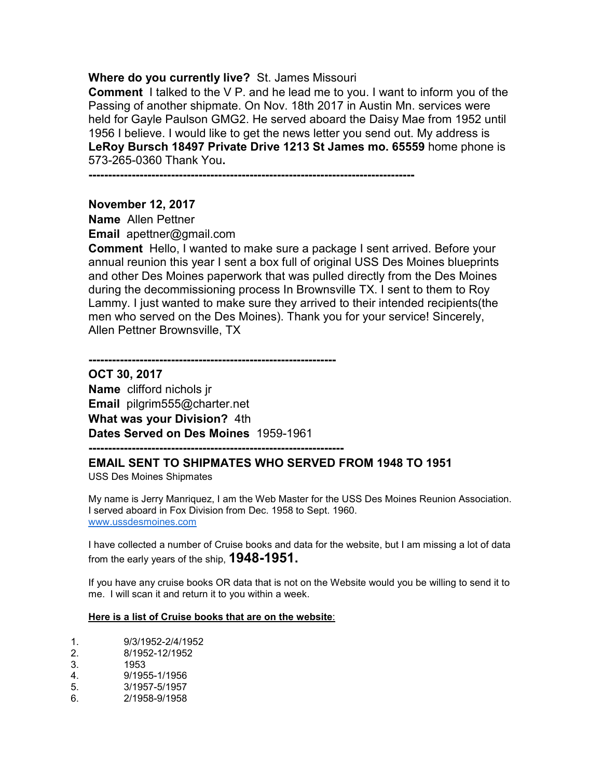#### **Where do you currently live?** St. James Missouri

**Comment** I talked to the V P. and he lead me to you. I want to inform you of the Passing of another shipmate. On Nov. 18th 2017 in Austin Mn. services were held for Gayle Paulson GMG2. He served aboard the Daisy Mae from 1952 until 1956 I believe. I would like to get the news letter you send out. My address is **LeRoy Bursch 18497 Private Drive 1213 St James mo. 65559** home phone is 573-265-0360 Thank You**.** 

**-----------------------------------------------------------------------------------** 

**---------------------------------------------------------------** 

#### **November 12, 2017**

**Name** Allen Pettner

**Email** apettner@gmail.com

**Comment** Hello, I wanted to make sure a package I sent arrived. Before your annual reunion this year I sent a box full of original USS Des Moines blueprints and other Des Moines paperwork that was pulled directly from the Des Moines during the decommissioning process In Brownsville TX. I sent to them to Roy Lammy. I just wanted to make sure they arrived to their intended recipients(the men who served on the Des Moines). Thank you for your service! Sincerely, Allen Pettner Brownsville, TX

**OCT 30, 2017 Name** clifford nichols jr **Email** pilgrim555@charter.net **What was your Division?** 4th **Dates Served on Des Moines** 1959-1961

**-----------------------------------------------------------------** 

#### **EMAIL SENT TO SHIPMATES WHO SERVED FROM 1948 TO 1951**

USS Des Moines Shipmates

My name is Jerry Manriquez, I am the Web Master for the USS Des Moines Reunion Association. I served aboard in Fox Division from Dec. 1958 to Sept. 1960. www.ussdesmoines.com

I have collected a number of Cruise books and data for the website, but I am missing a lot of data from the early years of the ship, **1948-1951.**

If you have any cruise books OR data that is not on the Website would you be willing to send it to me. I will scan it and return it to you within a week.

#### **Here is a list of Cruise books that are on the website**:

- 1. 9/3/1952-2/4/1952
- 2. 8/1952-12/1952
- 3. 1953
- 4. 9/1955-1/1956
- 5. 3/1957-5/1957
- 6. 2/1958-9/1958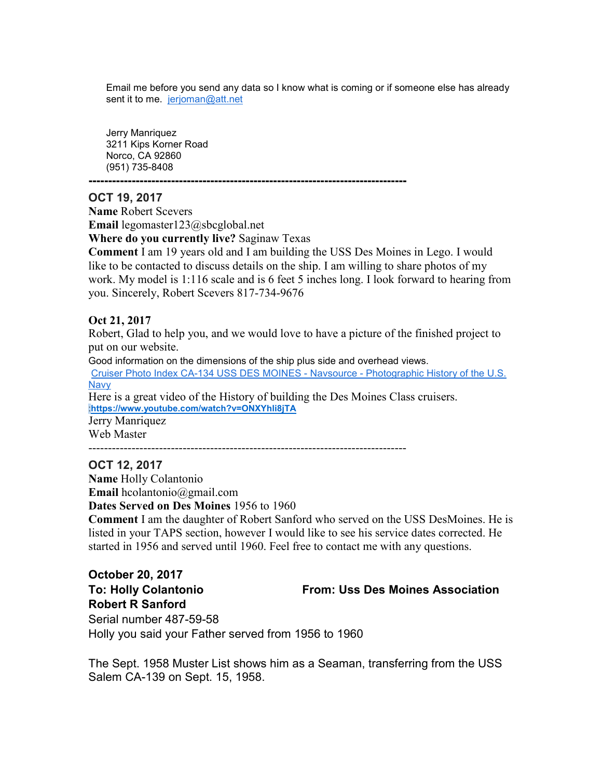Email me before you send any data so I know what is coming or if someone else has already sent it to me. jerjoman@att.net

Jerry Manriquez 3211 Kips Korner Road Norco, CA 92860 (951) 735-8408

**---------------------------------------------------------------------------------** 

#### **OCT 19, 2017**

**Name** Robert Scevers **Email** legomaster123@sbcglobal.net

**Where do you currently live?** Saginaw Texas

**Comment** I am 19 years old and I am building the USS Des Moines in Lego. I would like to be contacted to discuss details on the ship. I am willing to share photos of my work. My model is 1:116 scale and is 6 feet 5 inches long. I look forward to hearing from you. Sincerely, Robert Scevers 817-734-9676

## **Oct 21, 2017**

Robert, Glad to help you, and we would love to have a picture of the finished project to put on our website.

Good information on the dimensions of the ship plus side and overhead views. Cruiser Photo Index CA-134 USS DES MOINES - Navsource - Photographic History of the U.S. Navy Here is a great video of the History of building the Des Moines Class cruisers.

 $-$ 

:**https://www.youtube.com/watch?v=ONXYhli8jTA**

Jerry Manriquez Web Master

## **OCT 12, 2017**

**Name** Holly Colantonio **Email** hcolantonio@gmail.com

**Dates Served on Des Moines** 1956 to 1960

**Comment** I am the daughter of Robert Sanford who served on the USS DesMoines. He is listed in your TAPS section, however I would like to see his service dates corrected. He started in 1956 and served until 1960. Feel free to contact me with any questions.

**October 20, 2017 Robert R Sanford** 

## **To: Holly Colantonio From: Uss Des Moines Association**

Serial number 487-59-58 Holly you said your Father served from 1956 to 1960

The Sept. 1958 Muster List shows him as a Seaman, transferring from the USS Salem CA-139 on Sept. 15, 1958.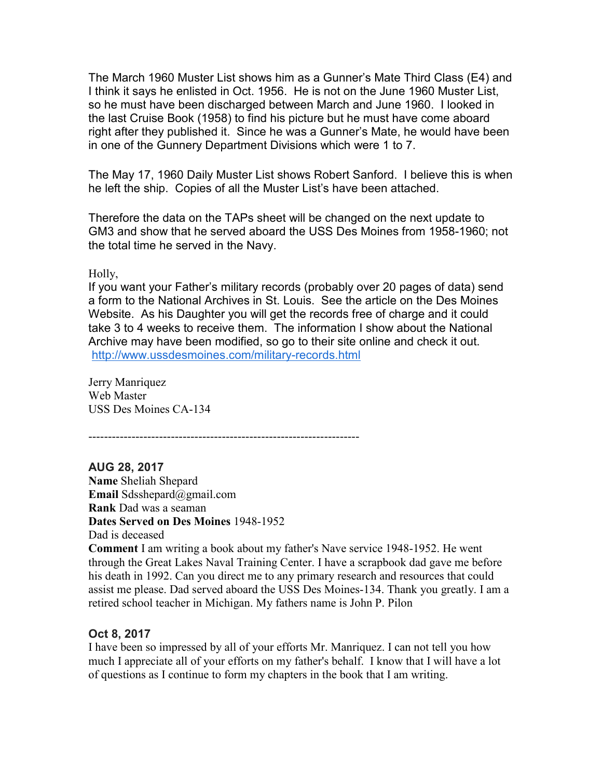The March 1960 Muster List shows him as a Gunner's Mate Third Class (E4) and I think it says he enlisted in Oct. 1956. He is not on the June 1960 Muster List, so he must have been discharged between March and June 1960. I looked in the last Cruise Book (1958) to find his picture but he must have come aboard right after they published it. Since he was a Gunner's Mate, he would have been in one of the Gunnery Department Divisions which were 1 to 7.

The May 17, 1960 Daily Muster List shows Robert Sanford. I believe this is when he left the ship. Copies of all the Muster List's have been attached.

Therefore the data on the TAPs sheet will be changed on the next update to GM3 and show that he served aboard the USS Des Moines from 1958-1960; not the total time he served in the Navy.

Holly,

If you want your Father's military records (probably over 20 pages of data) send a form to the National Archives in St. Louis. See the article on the Des Moines Website. As his Daughter you will get the records free of charge and it could take 3 to 4 weeks to receive them. The information I show about the National Archive may have been modified, so go to their site online and check it out. http://www.ussdesmoines.com/military-records.html

Jerry Manriquez Web Master USS Des Moines CA-134

---------------------------------------------------------------------

**AUG 28, 2017 Name** Sheliah Shepard **Email** Sdsshepard@gmail.com **Rank** Dad was a seaman **Dates Served on Des Moines** 1948-1952 Dad is deceased

**Comment** I am writing a book about my father's Nave service 1948-1952. He went through the Great Lakes Naval Training Center. I have a scrapbook dad gave me before his death in 1992. Can you direct me to any primary research and resources that could assist me please. Dad served aboard the USS Des Moines-134. Thank you greatly. I am a retired school teacher in Michigan. My fathers name is John P. Pilon

## **Oct 8, 2017**

I have been so impressed by all of your efforts Mr. Manriquez. I can not tell you how much I appreciate all of your efforts on my father's behalf. I know that I will have a lot of questions as I continue to form my chapters in the book that I am writing.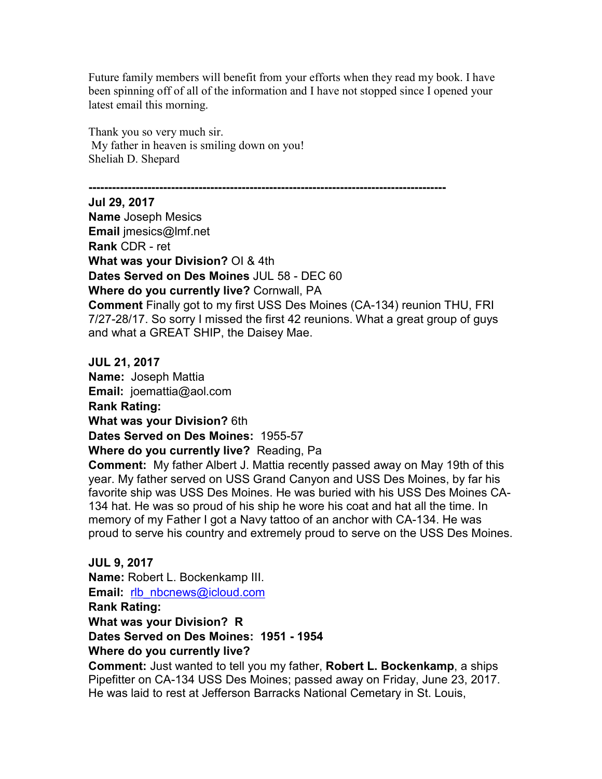Future family members will benefit from your efforts when they read my book. I have been spinning off of all of the information and I have not stopped since I opened your latest email this morning.

Thank you so very much sir. My father in heaven is smiling down on you! Sheliah D. Shepard

**-------------------------------------------------------------------------------------------** 

**Jul 29, 2017 Name** Joseph Mesics **Email** jmesics@lmf.net **Rank** CDR - ret **What was your Division?** OI & 4th **Dates Served on Des Moines** JUL 58 - DEC 60 **Where do you currently live?** Cornwall, PA **Comment** Finally got to my first USS Des Moines (CA-134) reunion THU, FRI 7/27-28/17. So sorry I missed the first 42 reunions. What a great group of guys and what a GREAT SHIP, the Daisey Mae.

**JUL 21, 2017 Name:** Joseph Mattia **Email:** joemattia@aol.com **Rank Rating: What was your Division?** 6th **Dates Served on Des Moines:** 1955-57 **Where do you currently live?** Reading, Pa

**Comment:** My father Albert J. Mattia recently passed away on May 19th of this year. My father served on USS Grand Canyon and USS Des Moines, by far his favorite ship was USS Des Moines. He was buried with his USS Des Moines CA-134 hat. He was so proud of his ship he wore his coat and hat all the time. In memory of my Father I got a Navy tattoo of an anchor with CA-134. He was proud to serve his country and extremely proud to serve on the USS Des Moines.

**JUL 9, 2017 Name:** Robert L. Bockenkamp III. **Email:** rlb\_nbcnews@icloud.com **Rank Rating: What was your Division? R Dates Served on Des Moines: 1951 - 1954 Where do you currently live?** 

**Comment:** Just wanted to tell you my father, **Robert L. Bockenkamp**, a ships Pipefitter on CA-134 USS Des Moines; passed away on Friday, June 23, 2017. He was laid to rest at Jefferson Barracks National Cemetary in St. Louis,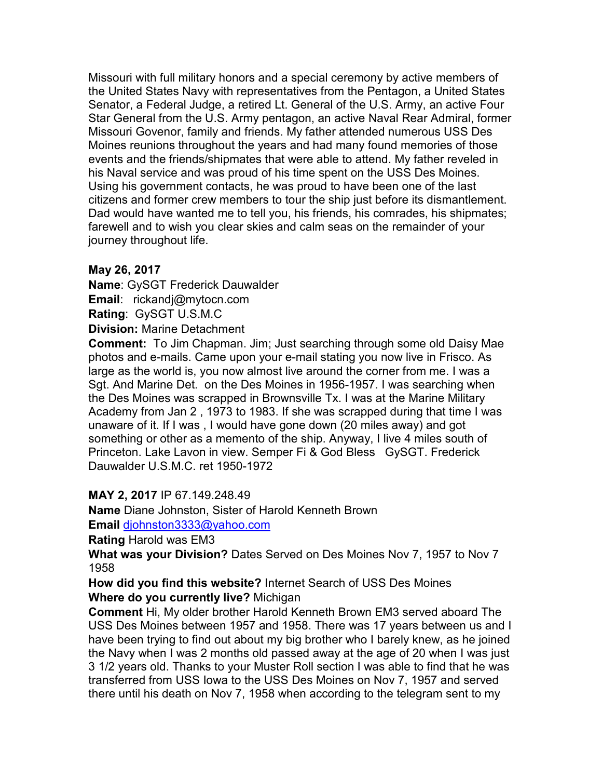Missouri with full military honors and a special ceremony by active members of the United States Navy with representatives from the Pentagon, a United States Senator, a Federal Judge, a retired Lt. General of the U.S. Army, an active Four Star General from the U.S. Army pentagon, an active Naval Rear Admiral, former Missouri Govenor, family and friends. My father attended numerous USS Des Moines reunions throughout the years and had many found memories of those events and the friends/shipmates that were able to attend. My father reveled in his Naval service and was proud of his time spent on the USS Des Moines. Using his government contacts, he was proud to have been one of the last citizens and former crew members to tour the ship just before its dismantlement. Dad would have wanted me to tell you, his friends, his comrades, his shipmates; farewell and to wish you clear skies and calm seas on the remainder of your journey throughout life.

## **May 26, 2017**

**Name**: GySGT Frederick Dauwalder **Email**: rickandj@mytocn.com **Rating**: GySGT U.S.M.C **Division:** Marine Detachment

**Comment:** To Jim Chapman. Jim; Just searching through some old Daisy Mae photos and e-mails. Came upon your e-mail stating you now live in Frisco. As large as the world is, you now almost live around the corner from me. I was a Sgt. And Marine Det. on the Des Moines in 1956-1957. I was searching when the Des Moines was scrapped in Brownsville Tx. I was at the Marine Military Academy from Jan 2 , 1973 to 1983. If she was scrapped during that time I was unaware of it. If I was , I would have gone down (20 miles away) and got something or other as a memento of the ship. Anyway, I live 4 miles south of Princeton. Lake Lavon in view. Semper Fi & God Bless GySGT. Frederick Dauwalder U.S.M.C. ret 1950-1972

## **MAY 2, 2017** IP 67.149.248.49

**Name** Diane Johnston, Sister of Harold Kenneth Brown

**Email** djohnston3333@yahoo.com

**Rating** Harold was EM3

**What was your Division?** Dates Served on Des Moines Nov 7, 1957 to Nov 7 1958

**How did you find this website?** Internet Search of USS Des Moines **Where do you currently live?** Michigan

**Comment** Hi, My older brother Harold Kenneth Brown EM3 served aboard The USS Des Moines between 1957 and 1958. There was 17 years between us and I have been trying to find out about my big brother who I barely knew, as he joined the Navy when I was 2 months old passed away at the age of 20 when I was just 3 1/2 years old. Thanks to your Muster Roll section I was able to find that he was transferred from USS Iowa to the USS Des Moines on Nov 7, 1957 and served there until his death on Nov 7, 1958 when according to the telegram sent to my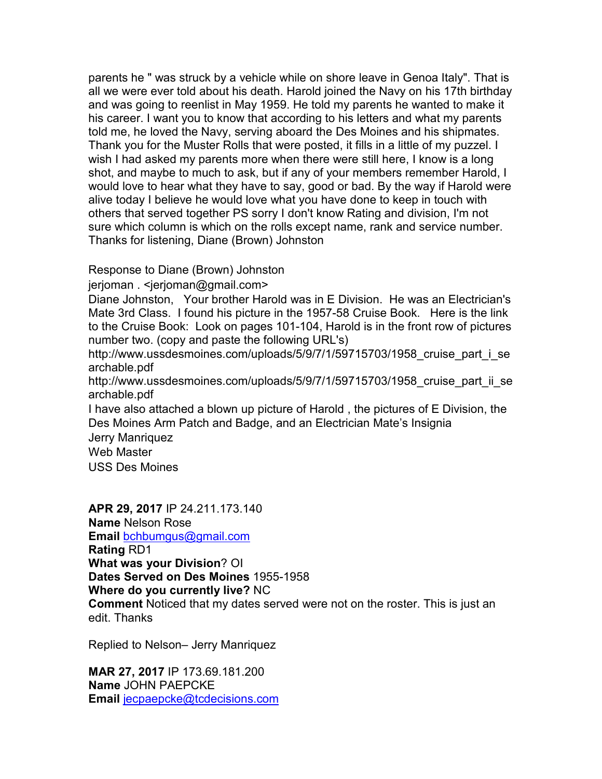parents he " was struck by a vehicle while on shore leave in Genoa Italy". That is all we were ever told about his death. Harold joined the Navy on his 17th birthday and was going to reenlist in May 1959. He told my parents he wanted to make it his career. I want you to know that according to his letters and what my parents told me, he loved the Navy, serving aboard the Des Moines and his shipmates. Thank you for the Muster Rolls that were posted, it fills in a little of my puzzel. I wish I had asked my parents more when there were still here, I know is a long shot, and maybe to much to ask, but if any of your members remember Harold, I would love to hear what they have to say, good or bad. By the way if Harold were alive today I believe he would love what you have done to keep in touch with others that served together PS sorry I don't know Rating and division, I'm not sure which column is which on the rolls except name, rank and service number. Thanks for listening, Diane (Brown) Johnston

Response to Diane (Brown) Johnston

jerjoman . <jerjoman@gmail.com>

Diane Johnston, Your brother Harold was in E Division. He was an Electrician's Mate 3rd Class. I found his picture in the 1957-58 Cruise Book. Here is the link to the Cruise Book: Look on pages 101-104, Harold is in the front row of pictures number two. (copy and paste the following URL's)

http://www.ussdesmoines.com/uploads/5/9/7/1/59715703/1958 cruise part i se archable.pdf

http://www.ussdesmoines.com/uploads/5/9/7/1/59715703/1958 cruise part ii se archable.pdf

I have also attached a blown up picture of Harold , the pictures of E Division, the Des Moines Arm Patch and Badge, and an Electrician Mate's Insignia

Jerry Manriquez

Web Master

USS Des Moines

**APR 29, 2017** IP 24.211.173.140 **Name** Nelson Rose **Email** bchbumgus@gmail.com **Rating** RD1 **What was your Division**? OI **Dates Served on Des Moines** 1955-1958 **Where do you currently live?** NC **Comment** Noticed that my dates served were not on the roster. This is just an edit. Thanks

Replied to Nelson– Jerry Manriquez

**MAR 27, 2017** IP 173.69.181.200 **Name** JOHN PAEPCKE **Email** jecpaepcke@tcdecisions.com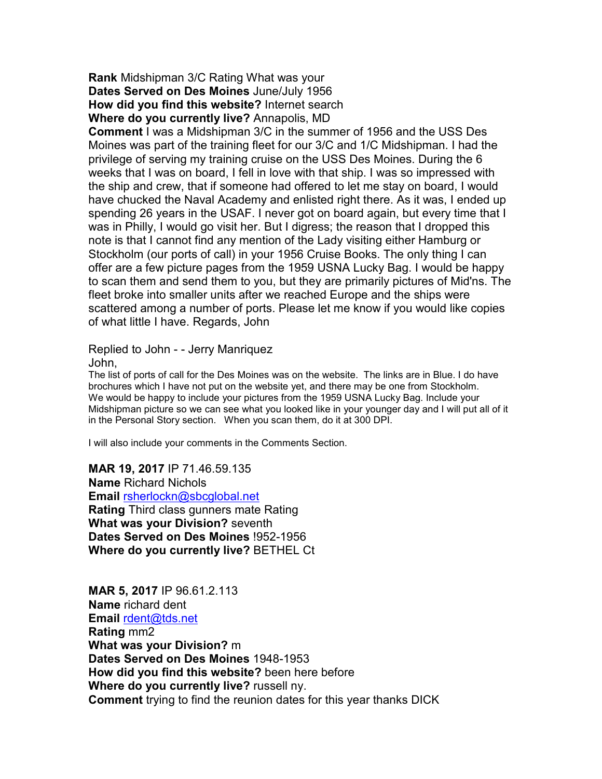**Rank** Midshipman 3/C Rating What was your **Dates Served on Des Moines** June/July 1956 **How did you find this website?** Internet search **Where do you currently live?** Annapolis, MD

**Comment** I was a Midshipman 3/C in the summer of 1956 and the USS Des Moines was part of the training fleet for our 3/C and 1/C Midshipman. I had the privilege of serving my training cruise on the USS Des Moines. During the 6 weeks that I was on board, I fell in love with that ship. I was so impressed with the ship and crew, that if someone had offered to let me stay on board, I would have chucked the Naval Academy and enlisted right there. As it was, I ended up spending 26 years in the USAF. I never got on board again, but every time that I was in Philly, I would go visit her. But I digress; the reason that I dropped this note is that I cannot find any mention of the Lady visiting either Hamburg or Stockholm (our ports of call) in your 1956 Cruise Books. The only thing I can offer are a few picture pages from the 1959 USNA Lucky Bag. I would be happy to scan them and send them to you, but they are primarily pictures of Mid'ns. The fleet broke into smaller units after we reached Europe and the ships were scattered among a number of ports. Please let me know if you would like copies of what little I have. Regards, John

Replied to John - - Jerry Manriquez

John,

The list of ports of call for the Des Moines was on the website. The links are in Blue. I do have brochures which I have not put on the website yet, and there may be one from Stockholm. We would be happy to include your pictures from the 1959 USNA Lucky Bag. Include your Midshipman picture so we can see what you looked like in your younger day and I will put all of it in the Personal Story section. When you scan them, do it at 300 DPI.

I will also include your comments in the Comments Section.

**MAR 19, 2017** IP 71.46.59.135 **Name** Richard Nichols **Email** rsherlockn@sbcglobal.net **Rating** Third class gunners mate Rating **What was your Division?** seventh **Dates Served on Des Moines** !952-1956 **Where do you currently live?** BETHEL Ct

**MAR 5, 2017** IP 96.61.2.113 **Name** richard dent **Email** rdent@tds.net **Rating** mm2 **What was your Division?** m **Dates Served on Des Moines** 1948-1953 **How did you find this website?** been here before **Where do you currently live?** russell ny. **Comment** trying to find the reunion dates for this year thanks DICK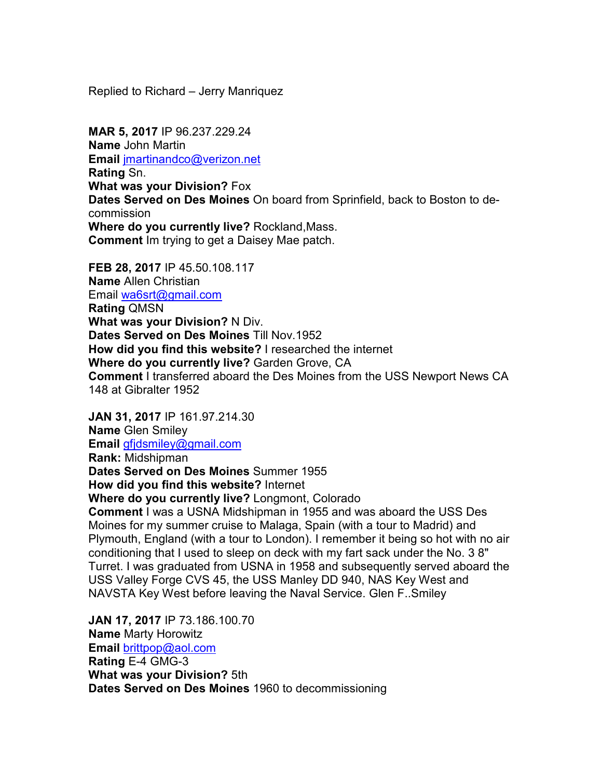Replied to Richard – Jerry Manriquez

**MAR 5, 2017** IP 96.237.229.24 **Name** John Martin **Email** jmartinandco@verizon.net **Rating** Sn. **What was your Division?** Fox **Dates Served on Des Moines** On board from Sprinfield, back to Boston to decommission **Where do you currently live?** Rockland,Mass. **Comment** Im trying to get a Daisey Mae patch.

**FEB 28, 2017** IP 45.50.108.117 **Name** Allen Christian Email wa6srt@gmail.com **Rating** QMSN **What was your Division?** N Div. **Dates Served on Des Moines** Till Nov.1952 **How did you find this website?** I researched the internet **Where do you currently live?** Garden Grove, CA **Comment** I transferred aboard the Des Moines from the USS Newport News CA 148 at Gibralter 1952

**JAN 31, 2017** IP 161.97.214.30 **Name** Glen Smiley **Email** gfjdsmiley@gmail.com **Rank:** Midshipman **Dates Served on Des Moines** Summer 1955 **How did you find this website?** Internet **Where do you currently live?** Longmont, Colorado **Comment** I was a USNA Midshipman in 1955 and was aboard the USS Des Moines for my summer cruise to Malaga, Spain (with a tour to Madrid) and Plymouth, England (with a tour to London). I remember it being so hot with no air conditioning that I used to sleep on deck with my fart sack under the No. 3 8" Turret. I was graduated from USNA in 1958 and subsequently served aboard the USS Valley Forge CVS 45, the USS Manley DD 940, NAS Key West and NAVSTA Key West before leaving the Naval Service. Glen F..Smiley

**JAN 17, 2017** IP 73.186.100.70 **Name** Marty Horowitz **Email** brittpop@aol.com **Rating** E-4 GMG-3 **What was your Division?** 5th **Dates Served on Des Moines** 1960 to decommissioning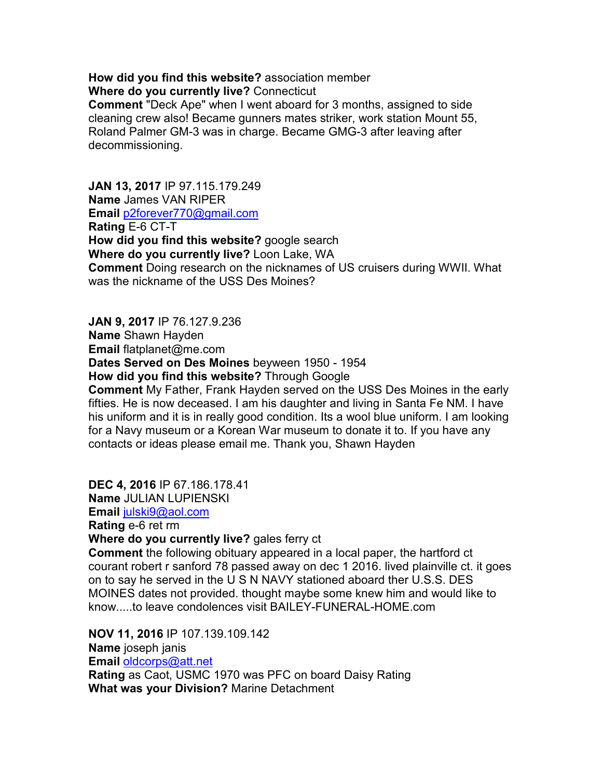**How did you find this website?** association member **Where do you currently live?** Connecticut

**Comment** "Deck Ape" when I went aboard for 3 months, assigned to side cleaning crew also! Became gunners mates striker, work station Mount 55, Roland Palmer GM-3 was in charge. Became GMG-3 after leaving after decommissioning.

**JAN 13, 2017** IP 97.115.179.249 **Name** James VAN RIPER **Email** p2forever770@gmail.com **Rating** E-6 CT-T **How did you find this website?** google search **Where do you currently live?** Loon Lake, WA **Comment** Doing research on the nicknames of US cruisers during WWII. What was the nickname of the USS Des Moines?

**JAN 9, 2017** IP 76.127.9.236 **Name** Shawn Hayden **Email** flatplanet@me.com **Dates Served on Des Moines** beyween 1950 - 1954 **How did you find this website?** Through Google **Comment** My Father, Frank Hayden served on the USS Des Moines in the early fifties. He is now deceased. I am his daughter and living in Santa Fe NM. I have his uniform and it is in really good condition. Its a wool blue uniform. I am looking for a Navy museum or a Korean War museum to donate it to. If you have any contacts or ideas please email me. Thank you, Shawn Hayden

**DEC 4, 2016** IP 67.186.178.41

**Name** JULIAN LUPIENSKI

**Email** julski9@aol.com

**Rating** e-6 ret rm

**Where do you currently live?** gales ferry ct

**Comment** the following obituary appeared in a local paper, the hartford ct courant robert r sanford 78 passed away on dec 1 2016. lived plainville ct. it goes on to say he served in the U S N NAVY stationed aboard ther U.S.S. DES MOINES dates not provided. thought maybe some knew him and would like to know.....to leave condolences visit BAILEY-FUNERAL-HOME.com

**NOV 11, 2016** IP 107.139.109.142 **Name** joseph janis **Email** oldcorps@att.net **Rating** as Caot, USMC 1970 was PFC on board Daisy Rating **What was your Division?** Marine Detachment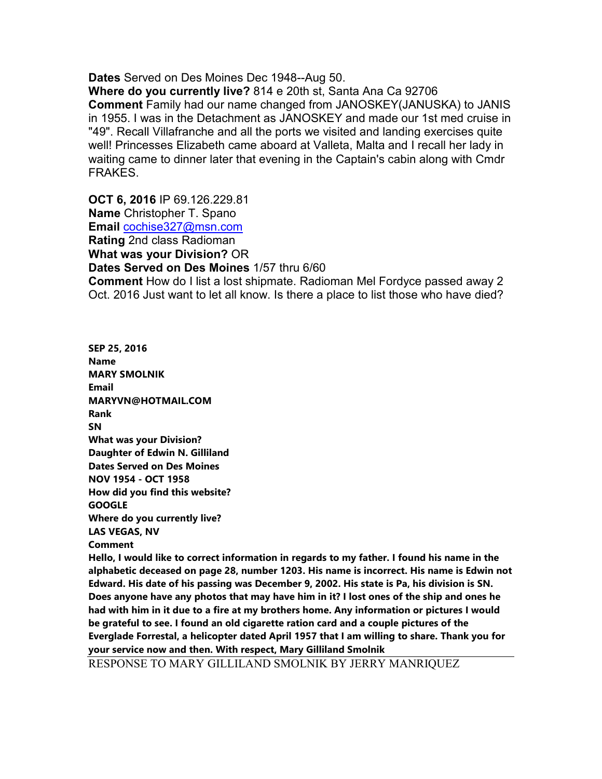**Dates** Served on Des Moines Dec 1948--Aug 50.

**Where do you currently live?** 814 e 20th st, Santa Ana Ca 92706 **Comment** Family had our name changed from JANOSKEY(JANUSKA) to JANIS in 1955. I was in the Detachment as JANOSKEY and made our 1st med cruise in "49". Recall Villafranche and all the ports we visited and landing exercises quite well! Princesses Elizabeth came aboard at Valleta, Malta and I recall her lady in waiting came to dinner later that evening in the Captain's cabin along with Cmdr FRAKES.

**OCT 6, 2016** IP 69.126.229.81 **Name** Christopher T. Spano **Email** cochise327@msn.com **Rating** 2nd class Radioman **What was your Division?** OR **Dates Served on Des Moines** 1/57 thru 6/60

**Comment** How do I list a lost shipmate. Radioman Mel Fordyce passed away 2 Oct. 2016 Just want to let all know. Is there a place to list those who have died?

**SEP 25, 2016 Name MARY SMOLNIK Email MARYVN@HOTMAIL.COM Rank SN What was your Division? Daughter of Edwin N. Gilliland Dates Served on Des Moines NOV 1954 - OCT 1958 How did you find this website? GOOGLE Where do you currently live? LAS VEGAS, NV Comment** 

**Hello, I would like to correct information in regards to my father. I found his name in the alphabetic deceased on page 28, number 1203. His name is incorrect. His name is Edwin not Edward. His date of his passing was December 9, 2002. His state is Pa, his division is SN. Does anyone have any photos that may have him in it? I lost ones of the ship and ones he had with him in it due to a fire at my brothers home. Any information or pictures I would be grateful to see. I found an old cigarette ration card and a couple pictures of the Everglade Forrestal, a helicopter dated April 1957 that I am willing to share. Thank you for your service now and then. With respect, Mary Gilliland Smolnik** 

RESPONSE TO MARY GILLILAND SMOLNIK BY JERRY MANRIQUEZ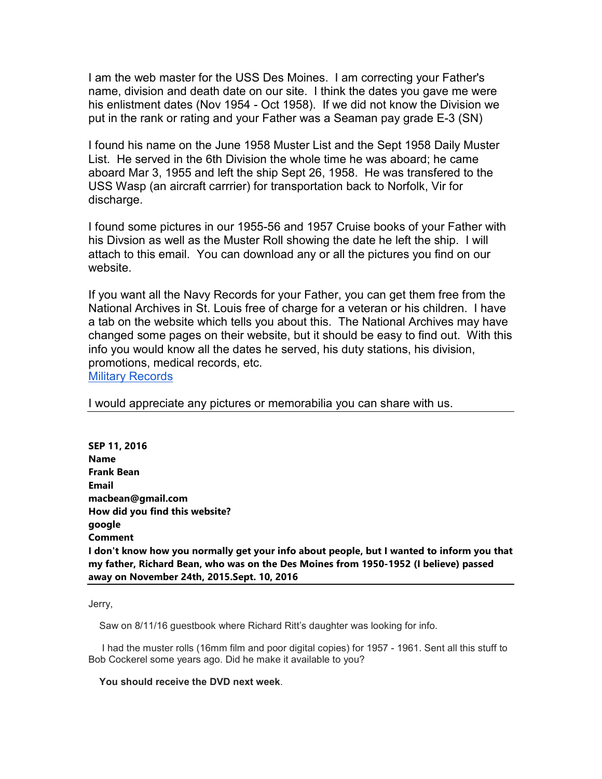I am the web master for the USS Des Moines. I am correcting your Father's name, division and death date on our site. I think the dates you gave me were his enlistment dates (Nov 1954 - Oct 1958). If we did not know the Division we put in the rank or rating and your Father was a Seaman pay grade E-3 (SN)

I found his name on the June 1958 Muster List and the Sept 1958 Daily Muster List. He served in the 6th Division the whole time he was aboard; he came aboard Mar 3, 1955 and left the ship Sept 26, 1958. He was transfered to the USS Wasp (an aircraft carrrier) for transportation back to Norfolk, Vir for discharge.

I found some pictures in our 1955-56 and 1957 Cruise books of your Father with his Divsion as well as the Muster Roll showing the date he left the ship. I will attach to this email. You can download any or all the pictures you find on our website.

If you want all the Navy Records for your Father, you can get them free from the National Archives in St. Louis free of charge for a veteran or his children. I have a tab on the website which tells you about this. The National Archives may have changed some pages on their website, but it should be easy to find out. With this info you would know all the dates he served, his duty stations, his division, promotions, medical records, etc. Military Records

I would appreciate any pictures or memorabilia you can share with us.

**SEP 11, 2016 Name Frank Bean Email macbean@gmail.com How did you find this website? google Comment I don't know how you normally get your info about people, but I wanted to inform you that my father, Richard Bean, who was on the Des Moines from 1950-1952 (I believe) passed away on November 24th, 2015.Sept. 10, 2016** 

Jerry,

Saw on 8/11/16 guestbook where Richard Ritt's daughter was looking for info.

 I had the muster rolls (16mm film and poor digital copies) for 1957 - 1961. Sent all this stuff to Bob Cockerel some years ago. Did he make it available to you?

#### **You should receive the DVD next week**.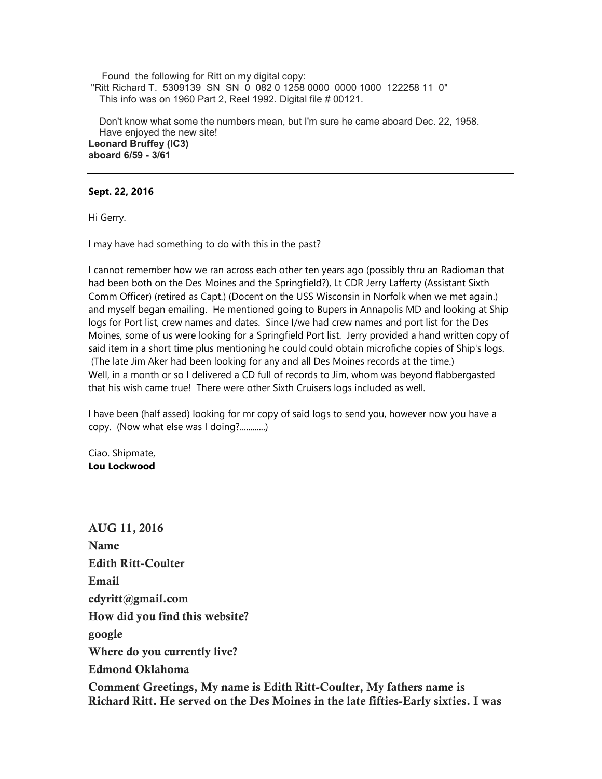Found the following for Ritt on my digital copy: "Ritt Richard T. 5309139 SN SN 0 082 0 1258 0000 0000 1000 122258 11 0" This info was on 1960 Part 2, Reel 1992. Digital file # 00121.

 Don't know what some the numbers mean, but I'm sure he came aboard Dec. 22, 1958. Have enjoyed the new site! **Leonard Bruffey (IC3) aboard 6/59 - 3/61** 

**Sept. 22, 2016** 

Hi Gerry.

I may have had something to do with this in the past?

I cannot remember how we ran across each other ten years ago (possibly thru an Radioman that had been both on the Des Moines and the Springfield?), Lt CDR Jerry Lafferty (Assistant Sixth Comm Officer) (retired as Capt.) (Docent on the USS Wisconsin in Norfolk when we met again.) and myself began emailing. He mentioned going to Bupers in Annapolis MD and looking at Ship logs for Port list, crew names and dates. Since I/we had crew names and port list for the Des Moines, some of us were looking for a Springfield Port list. Jerry provided a hand written copy of said item in a short time plus mentioning he could could obtain microfiche copies of Ship's logs. (The late Jim Aker had been looking for any and all Des Moines records at the time.) Well, in a month or so I delivered a CD full of records to Jim, whom was beyond flabbergasted that his wish came true! There were other Sixth Cruisers logs included as well.

I have been (half assed) looking for mr copy of said logs to send you, however now you have a copy. (Now what else was I doing?............)

Ciao. Shipmate, **Lou Lockwood** 

**AUG 11, 2016 Name Edith Ritt-Coulter Email edyritt@gmail.com How did you find this website? google Where do you currently live? Edmond Oklahoma** 

**Comment Greetings, My name is Edith Ritt-Coulter, My fathers name is Richard Ritt. He served on the Des Moines in the late fifties-Early sixties. I was**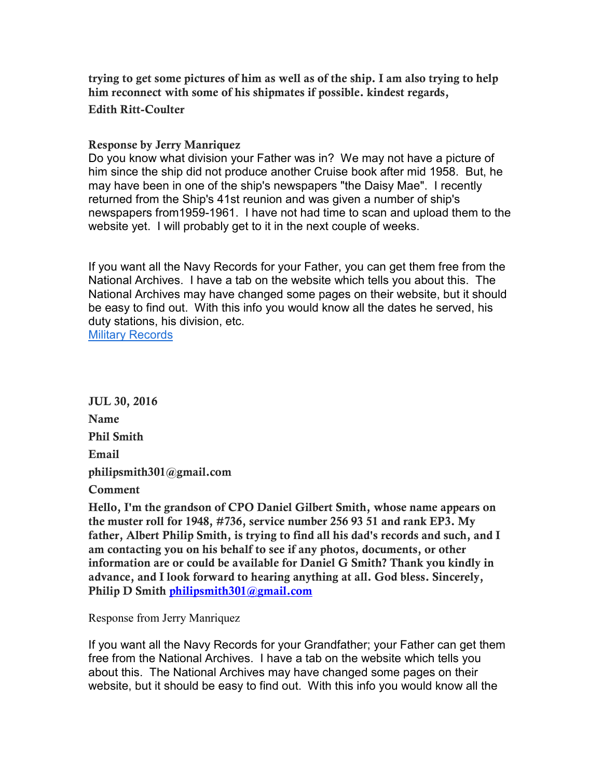**trying to get some pictures of him as well as of the ship. I am also trying to help him reconnect with some of his shipmates if possible. kindest regards,** 

#### **Edith Ritt-Coulter**

#### **Response by Jerry Manriquez**

Do you know what division your Father was in? We may not have a picture of him since the ship did not produce another Cruise book after mid 1958. But, he may have been in one of the ship's newspapers "the Daisy Mae". I recently returned from the Ship's 41st reunion and was given a number of ship's newspapers from1959-1961. I have not had time to scan and upload them to the website yet. I will probably get to it in the next couple of weeks.

If you want all the Navy Records for your Father, you can get them free from the National Archives. I have a tab on the website which tells you about this. The National Archives may have changed some pages on their website, but it should be easy to find out. With this info you would know all the dates he served, his duty stations, his division, etc. Military Records

**JUL 30, 2016 Name Phil Smith Email philipsmith301@gmail.com** 

**Comment** 

**Hello, I'm the grandson of CPO Daniel Gilbert Smith, whose name appears on the muster roll for 1948, #736, service number 256 93 51 and rank EP3. My father, Albert Philip Smith, is trying to find all his dad's records and such, and I am contacting you on his behalf to see if any photos, documents, or other information are or could be available for Daniel G Smith? Thank you kindly in advance, and I look forward to hearing anything at all. God bless. Sincerely, Philip D Smith philipsmith301@gmail.com**

Response from Jerry Manriquez

If you want all the Navy Records for your Grandfather; your Father can get them free from the National Archives. I have a tab on the website which tells you about this. The National Archives may have changed some pages on their website, but it should be easy to find out. With this info you would know all the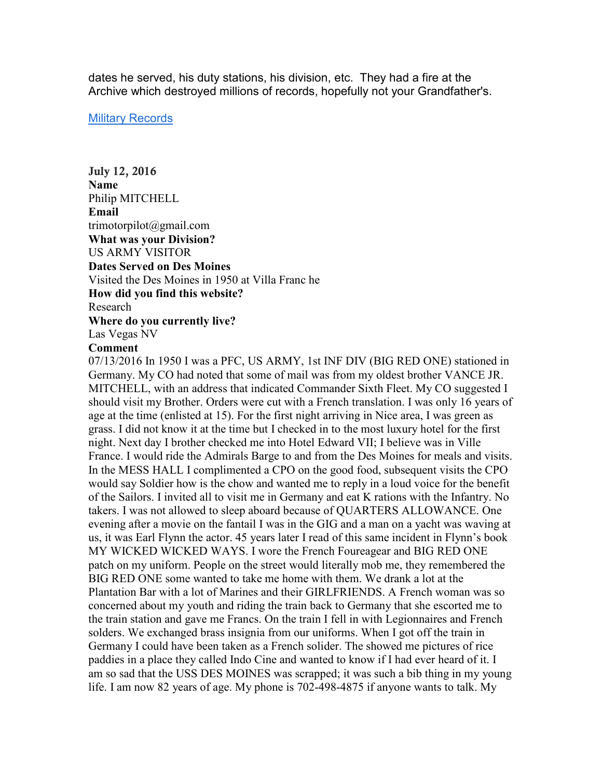dates he served, his duty stations, his division, etc. They had a fire at the Archive which destroyed millions of records, hopefully not your Grandfather's.

#### **Military Records**

**July 12, 2016 Name**  Philip MITCHELL **Email**  trimotorpilot@gmail.com **What was your Division?**  US ARMY VISITOR **Dates Served on Des Moines**  Visited the Des Moines in 1950 at Villa Franc he **How did you find this website?**  Research **Where do you currently live?**  Las Vegas NV

#### **Comment**

07/13/2016 In 1950 I was a PFC, US ARMY, 1st INF DIV (BIG RED ONE) stationed in Germany. My CO had noted that some of mail was from my oldest brother VANCE JR. MITCHELL, with an address that indicated Commander Sixth Fleet. My CO suggested I should visit my Brother. Orders were cut with a French translation. I was only 16 years of age at the time (enlisted at 15). For the first night arriving in Nice area, I was green as grass. I did not know it at the time but I checked in to the most luxury hotel for the first night. Next day I brother checked me into Hotel Edward VII; I believe was in Ville France. I would ride the Admirals Barge to and from the Des Moines for meals and visits. In the MESS HALL I complimented a CPO on the good food, subsequent visits the CPO would say Soldier how is the chow and wanted me to reply in a loud voice for the benefit of the Sailors. I invited all to visit me in Germany and eat K rations with the Infantry. No takers. I was not allowed to sleep aboard because of QUARTERS ALLOWANCE. One evening after a movie on the fantail I was in the GIG and a man on a yacht was waving at us, it was Earl Flynn the actor. 45 years later I read of this same incident in Flynn's book MY WICKED WICKED WAYS. I wore the French Foureagear and BIG RED ONE patch on my uniform. People on the street would literally mob me, they remembered the BIG RED ONE some wanted to take me home with them. We drank a lot at the Plantation Bar with a lot of Marines and their GIRLFRIENDS. A French woman was so concerned about my youth and riding the train back to Germany that she escorted me to the train station and gave me Francs. On the train I fell in with Legionnaires and French solders. We exchanged brass insignia from our uniforms. When I got off the train in Germany I could have been taken as a French solider. The showed me pictures of rice paddies in a place they called Indo Cine and wanted to know if I had ever heard of it. I am so sad that the USS DES MOINES was scrapped; it was such a bib thing in my young life. I am now 82 years of age. My phone is 702-498-4875 if anyone wants to talk. My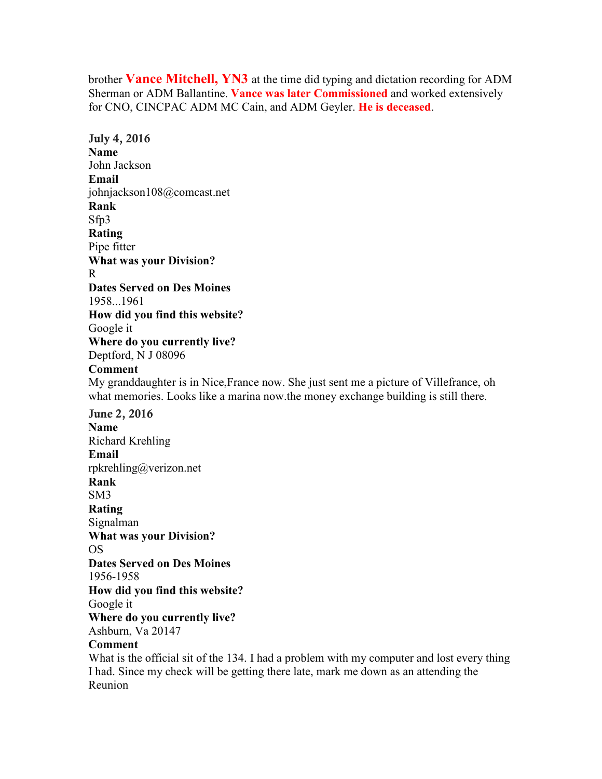brother **Vance Mitchell, YN3** at the time did typing and dictation recording for ADM Sherman or ADM Ballantine. **Vance was later Commissioned** and worked extensively for CNO, CINCPAC ADM MC Cain, and ADM Geyler. **He is deceased**.

**July 4, 2016 Name** John Jackson **Email** johnjackson108@comcast.net **Rank** Sfp3 **Rating** Pipe fitter **What was your Division?** R **Dates Served on Des Moines** 1958...1961 **How did you find this website?**  Google it **Where do you currently live?** Deptford, N J 08096 **Comment** My granddaughter is in Nice,France now. She just sent me a picture of Villefrance, oh what memories. Looks like a marina now.the money exchange building is still there. **June 2, 2016 Name** Richard Krehling **Email** rpkrehling@verizon.net **Rank** SM3 **Rating** Signalman **What was your Division?** OS **Dates Served on Des Moines** 1956-1958 **How did you find this website?**  Google it **Where do you currently live?** Ashburn, Va 20147 **Comment** What is the official sit of the 134. I had a problem with my computer and lost every thing I had. Since my check will be getting there late, mark me down as an attending the

Reunion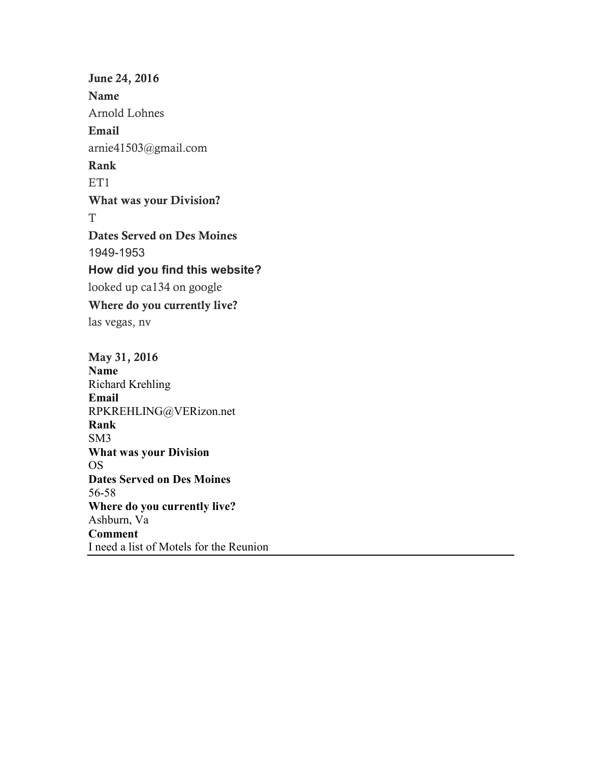**June 24, 2016 Name**  Arnold Lohnes **Email**  arnie41503@gmail.com **Rank**  ET<sub>1</sub> **What was your Division?**  T **Dates Served on Des Moines**  1949-1953 **How did you find this website?**  looked up ca134 on google **Where do you currently live?**  las vegas, nv **May 31, 2016 Name** 

Richard Krehling **Email**  RPKREHLING@VERizon.net **Rank**  SM3 **What was your Division**  OS **Dates Served on Des Moines**  56-58 **Where do you currently live?**  Ashburn, Va **Comment**  I need a list of Motels for the Reunion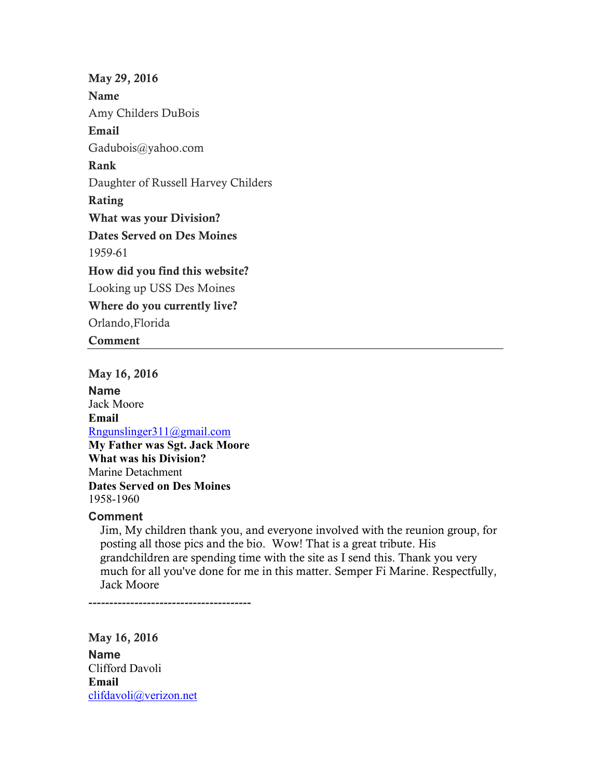**May 29, 2016 Name**  Amy Childers DuBois **Email**  Gadubois@yahoo.com **Rank**  Daughter of Russell Harvey Childers **Rating What was your Division? Dates Served on Des Moines**  1959-61 **How did you find this website?**  Looking up USS Des Moines **Where do you currently live?**  Orlando,Florida **Comment** 

**May 16, 2016 Name**  Jack Moore **Email** Rngunslinger311@gmail.com **My Father was Sgt. Jack Moore What was his Division?** Marine Detachment **Dates Served on Des Moines** 1958-1960

#### **Comment**

Jim, My children thank you, and everyone involved with the reunion group, for posting all those pics and the bio. Wow! That is a great tribute. His grandchildren are spending time with the site as I send this. Thank you very much for all you've done for me in this matter. Semper Fi Marine. Respectfully, Jack Moore

**---------------------------------------** 

**May 16, 2016 Name**  Clifford Davoli **Email** clifdavoli@verizon.net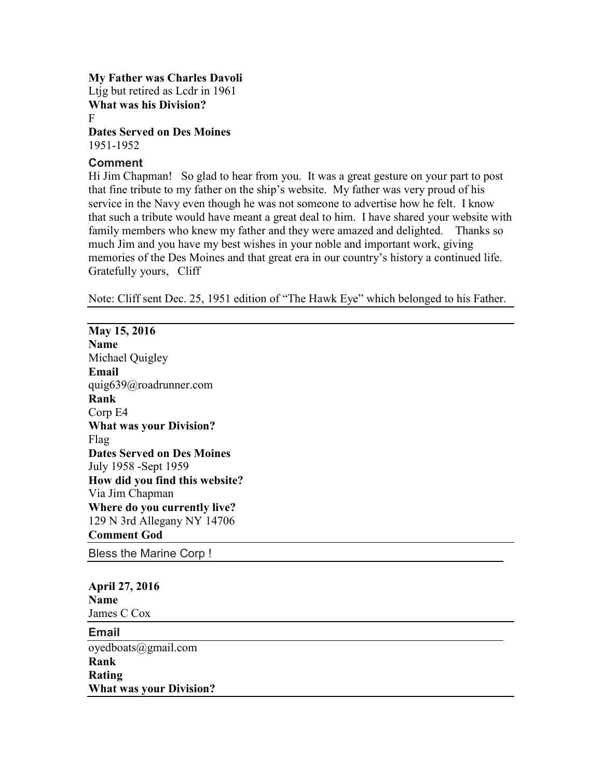**My Father was Charles Davoli** Ltjg but retired as Lcdr in 1961 **What was his Division?** F **Dates Served on Des Moines**

1951-1952

#### **Comment**

Hi Jim Chapman! So glad to hear from you. It was a great gesture on your part to post that fine tribute to my father on the ship's website. My father was very proud of his service in the Navy even though he was not someone to advertise how he felt. I know that such a tribute would have meant a great deal to him. I have shared your website with family members who knew my father and they were amazed and delighted. Thanks so much Jim and you have my best wishes in your noble and important work, giving memories of the Des Moines and that great era in our country's history a continued life. Gratefully yours, Cliff

Note: Cliff sent Dec. 25, 1951 edition of "The Hawk Eye" which belonged to his Father.

**May 15, 2016 Name**  Michael Quigley **Email**  quig639@roadrunner.com **Rank**  Corp E4 **What was your Division?**  Flag **Dates Served on Des Moines**  July 1958 -Sept 1959 **How did you find this website?**  Via Jim Chapman **Where do you currently live?**  129 N 3rd Allegany NY 14706 **Comment God** 

Bless the Marine Corp !

**April 27, 2016 Name** James C Cox

**Email**  oyedboats@gmail.com **Rank Rating What was your Division?**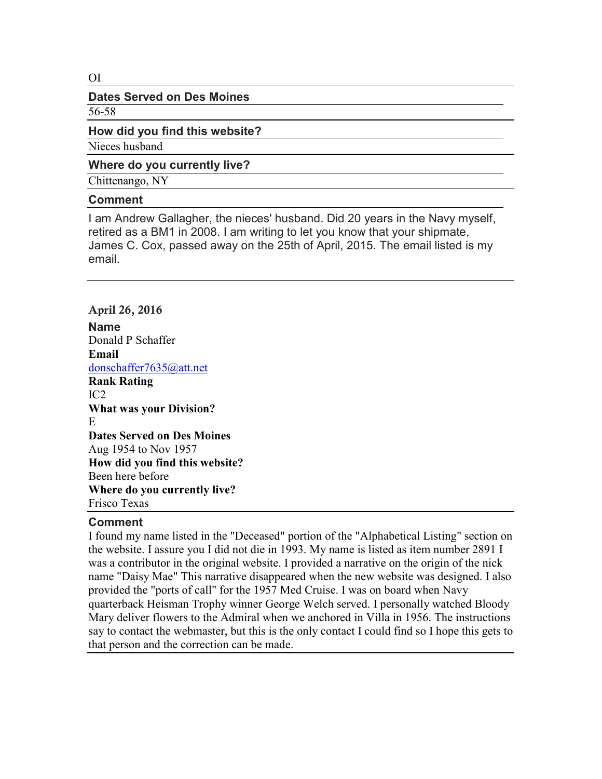#### OI

#### **Dates Served on Des Moines**

56-58

#### **How did you find this website?**

Nieces husband

#### **Where do you currently live?**

Chittenango, NY

#### **Comment**

I am Andrew Gallagher, the nieces' husband. Did 20 years in the Navy myself, retired as a BM1 in 2008. I am writing to let you know that your shipmate, James C. Cox, passed away on the 25th of April, 2015. The email listed is my email.

## **April 26, 2016**

**Name**  Donald P Schaffer **Email** donschaffer7635@att.net **Rank Rating** IC2 **What was your Division?** E **Dates Served on Des Moines** Aug 1954 to Nov 1957 **How did you find this website?** Been here before **Where do you currently live?**  Frisco Texas

#### **Comment**

I found my name listed in the "Deceased" portion of the "Alphabetical Listing" section on the website. I assure you I did not die in 1993. My name is listed as item number 2891 I was a contributor in the original website. I provided a narrative on the origin of the nick name "Daisy Mae" This narrative disappeared when the new website was designed. I also provided the "ports of call" for the 1957 Med Cruise. I was on board when Navy quarterback Heisman Trophy winner George Welch served. I personally watched Bloody Mary deliver flowers to the Admiral when we anchored in Villa in 1956. The instructions say to contact the webmaster, but this is the only contact I could find so I hope this gets to that person and the correction can be made.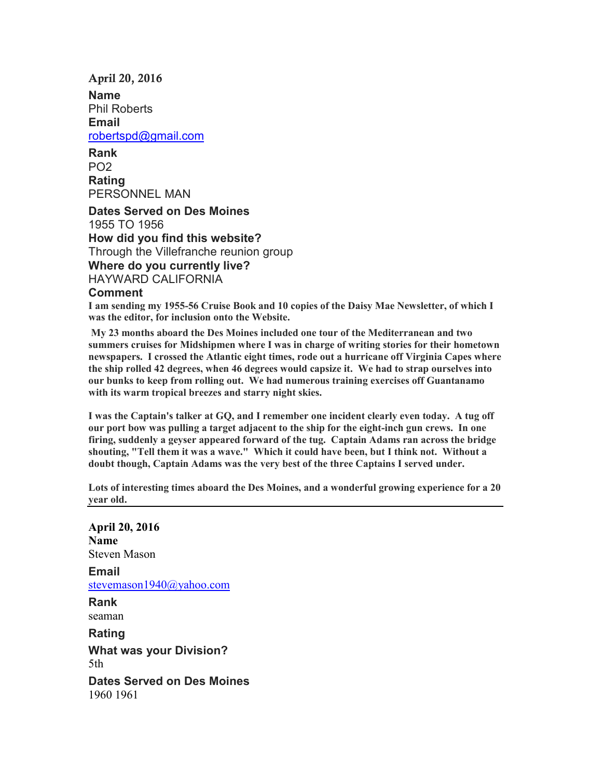#### **April 20, 2016**

**Name** Phil Roberts **Email** robertspd@gmail.com

**Rank** PO2 **Rating** PERSONNEL MAN

**Dates Served on Des Moines** 1955 TO 1956 **How did you find this website?** Through the Villefranche reunion group **Where do you currently live?** HAYWARD CALIFORNIA

#### **Comment**

**I am sending my 1955-56 Cruise Book and 10 copies of the Daisy Mae Newsletter, of which I was the editor, for inclusion onto the Website.** 

 **My 23 months aboard the Des Moines included one tour of the Mediterranean and two summers cruises for Midshipmen where I was in charge of writing stories for their hometown newspapers. I crossed the Atlantic eight times, rode out a hurricane off Virginia Capes where the ship rolled 42 degrees, when 46 degrees would capsize it. We had to strap ourselves into our bunks to keep from rolling out. We had numerous training exercises off Guantanamo with its warm tropical breezes and starry night skies.** 

**I was the Captain's talker at GQ, and I remember one incident clearly even today. A tug off our port bow was pulling a target adjacent to the ship for the eight-inch gun crews. In one firing, suddenly a geyser appeared forward of the tug. Captain Adams ran across the bridge shouting, "Tell them it was a wave." Which it could have been, but I think not. Without a doubt though, Captain Adams was the very best of the three Captains I served under.** 

**Lots of interesting times aboard the Des Moines, and a wonderful growing experience for a 20 year old.**

**April 20, 2016 Name** Steven Mason **Email**  stevemason1940@yahoo.com **Rank**  seaman **Rating What was your Division?**  5th **Dates Served on Des Moines**  1960 1961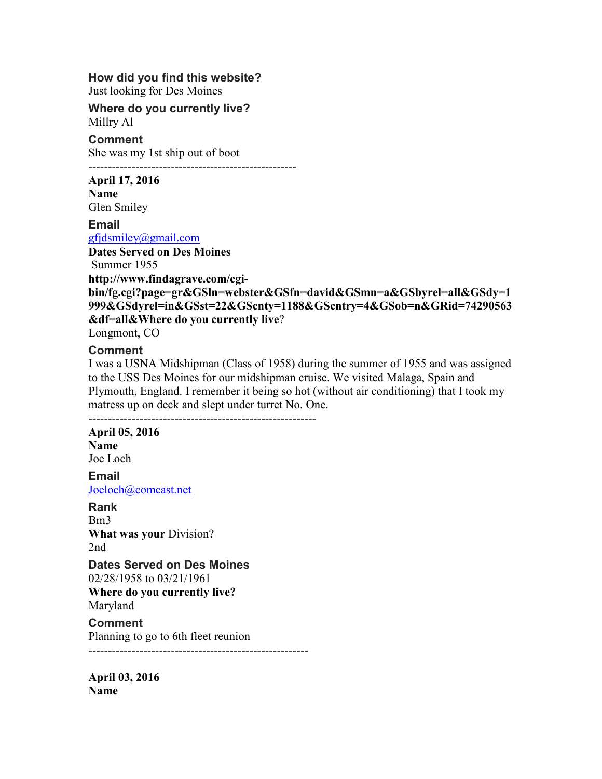#### **How did you find this website?**

Just looking for Des Moines

#### **Where do you currently live?**  Millry Al

**Comment**  She was my 1st ship out of boot

-----------------------------------------------------

#### **April 17, 2016**

**Name**  Glen Smiley

**Email**  gfjdsmiley@gmail.com

**Dates Served on Des Moines**

Summer 1955

**http://www.findagrave.com/cgi-**

**bin/fg.cgi?page=gr&GSln=webster&GSfn=david&GSmn=a&GSbyrel=all&GSdy=1 999&GSdyrel=in&GSst=22&GScnty=1188&GScntry=4&GSob=n&GRid=74290563 &df=all&Where do you currently live**?

Longmont, CO

#### **Comment**

I was a USNA Midshipman (Class of 1958) during the summer of 1955 and was assigned to the USS Des Moines for our midshipman cruise. We visited Malaga, Spain and Plymouth, England. I remember it being so hot (without air conditioning) that I took my matress up on deck and slept under turret No. One. ----------------------------------------------------------

## **April 05, 2016 Name**

Joe Loch

**Email**  Joeloch@comcast.net

# **Rank**

Bm3 **What was your** Division? 2nd

## **Dates Served on Des Moines**

02/28/1958 to 03/21/1961

**Where do you currently live?** Maryland

## **Comment**

Planning to go to 6th fleet reunion

--------------------------------------------------------

**April 03, 2016 Name**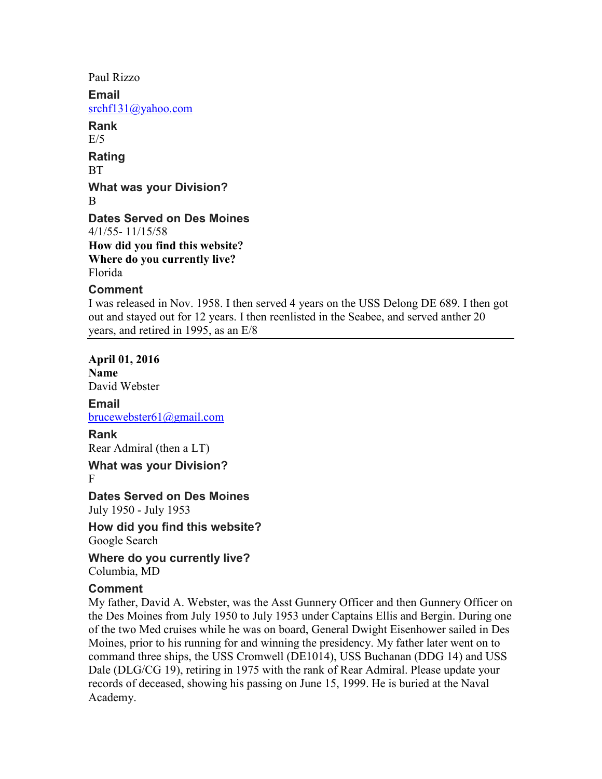Paul Rizzo **Email**  srchf131@yahoo.com **Rank**   $E/5$ **Rating**  BT **What was your Division?**  B **Dates Served on Des Moines**  4/1/55- 11/15/58 **How did you find this website? Where do you currently live?**  Florida **Comment**  I was released in Nov. 1958. I then served 4 years on the USS Delong DE 689. I then got out and stayed out for 12 years. I then reenlisted in the Seabee, and served anther 20 years, and retired in 1995, as an E/8

**April 01, 2016 Name** David Webster

**Email**  brucewebster61@gmail.com

## **Rank**

Rear Admiral (then a LT)

**What was your Division?**  F

**Dates Served on Des Moines**  July 1950 - July 1953

**How did you find this website?**  Google Search

**Where do you currently live?**  Columbia, MD

#### **Comment**

My father, David A. Webster, was the Asst Gunnery Officer and then Gunnery Officer on the Des Moines from July 1950 to July 1953 under Captains Ellis and Bergin. During one of the two Med cruises while he was on board, General Dwight Eisenhower sailed in Des Moines, prior to his running for and winning the presidency. My father later went on to command three ships, the USS Cromwell (DE1014), USS Buchanan (DDG 14) and USS Dale (DLG/CG 19), retiring in 1975 with the rank of Rear Admiral. Please update your records of deceased, showing his passing on June 15, 1999. He is buried at the Naval Academy.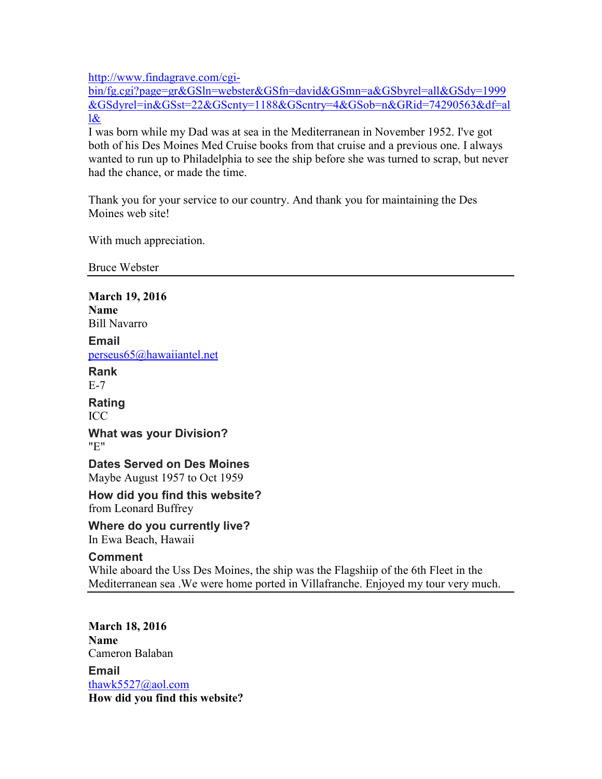http://www.findagrave.com/cgi-

bin/fg.cgi?page=gr&GSln=webster&GSfn=david&GSmn=a&GSbyrel=all&GSdy=1999 &GSdyrel=in&GSst=22&GScnty=1188&GScntry=4&GSob=n&GRid=74290563&df=al  $\log$ 

I was born while my Dad was at sea in the Mediterranean in November 1952. I've got both of his Des Moines Med Cruise books from that cruise and a previous one. I always wanted to run up to Philadelphia to see the ship before she was turned to scrap, but never had the chance, or made the time.

Thank you for your service to our country. And thank you for maintaining the Des Moines web site!

With much appreciation.

Bruce Webster

**March 19, 2016 Name**  Bill Navarro **Email**  perseus65@hawaiiantel.net **Rank**  E-7 **Rating**  ICC **What was your Division?**  "E" **Dates Served on Des Moines**  Maybe August 1957 to Oct 1959 **How did you find this website?**  from Leonard Buffrey **Where do you currently live?**  In Ewa Beach, Hawaii **Comment**  While aboard the Uss Des Moines, the ship was the Flagshiip of the 6th Fleet in the Mediterranean sea .We were home ported in Villafranche. Enjoyed my tour very much. **March 18, 2016** 

**Name** Cameron Balaban **Email**  thawk5527@aol.com **How did you find this website?**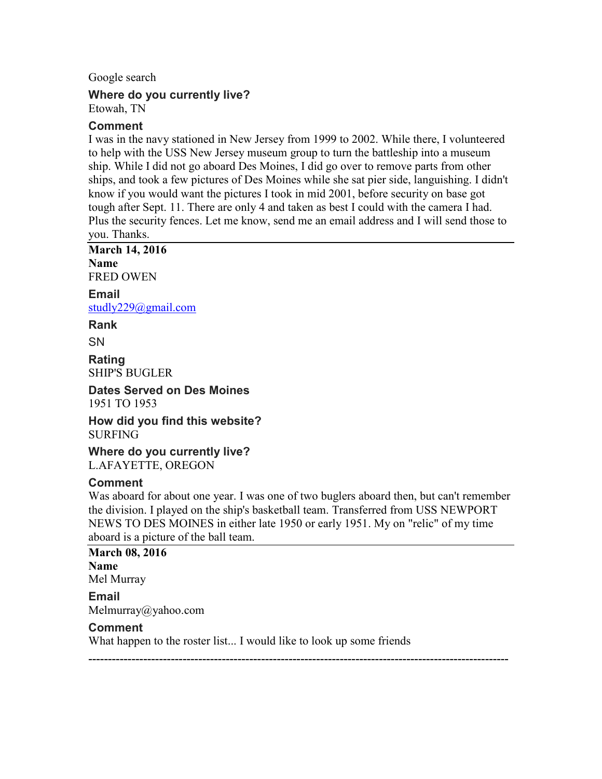Google search

#### **Where do you currently live?**  Etowah, TN

## **Comment**

I was in the navy stationed in New Jersey from 1999 to 2002. While there, I volunteered to help with the USS New Jersey museum group to turn the battleship into a museum ship. While I did not go aboard Des Moines, I did go over to remove parts from other ships, and took a few pictures of Des Moines while she sat pier side, languishing. I didn't know if you would want the pictures I took in mid 2001, before security on base got tough after Sept. 11. There are only 4 and taken as best I could with the camera I had. Plus the security fences. Let me know, send me an email address and I will send those to you. Thanks.

**March 14, 2016 Name** FRED OWEN

**Email**  studly229@gmail.com

**Rank** 

**SN** 

**Rating**  SHIP'S BUGLER

**Dates Served on Des Moines**  1951 TO 1953

**How did you find this website?**  SURFING

**Where do you currently live?**  L.AFAYETTE, OREGON

## **Comment**

Was aboard for about one year. I was one of two buglers aboard then, but can't remember the division. I played on the ship's basketball team. Transferred from USS NEWPORT NEWS TO DES MOINES in either late 1950 or early 1951. My on "relic" of my time aboard is a picture of the ball team.

**March 08, 2016 Name** Mel Murray **Email**  Melmurray@yahoo.com **Comment**  What happen to the roster list... I would like to look up some friends

-----------------------------------------------------------------------------------------------------------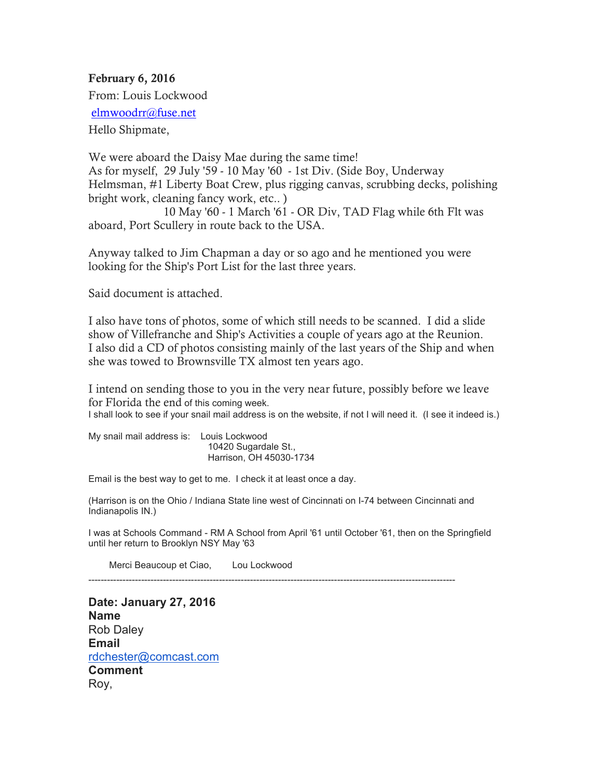**February 6, 2016**  From: Louis Lockwood elmwoodrr@fuse.net Hello Shipmate,

We were aboard the Daisy Mae during the same time! As for myself, 29 July '59 - 10 May '60 - 1st Div. (Side Boy, Underway Helmsman, #1 Liberty Boat Crew, plus rigging canvas, scrubbing decks, polishing bright work, cleaning fancy work, etc.. )

 10 May '60 - 1 March '61 - OR Div, TAD Flag while 6th Flt was aboard, Port Scullery in route back to the USA.

Anyway talked to Jim Chapman a day or so ago and he mentioned you were looking for the Ship's Port List for the last three years.

Said document is attached.

I also have tons of photos, some of which still needs to be scanned. I did a slide show of Villefranche and Ship's Activities a couple of years ago at the Reunion. I also did a CD of photos consisting mainly of the last years of the Ship and when she was towed to Brownsville TX almost ten years ago.

I intend on sending those to you in the very near future, possibly before we leave for Florida the end of this coming week.

I shall look to see if your snail mail address is on the website, if not I will need it. (I see it indeed is.)

My snail mail address is: Louis Lockwood 10420 Sugardale St., Harrison, OH 45030-1734

Email is the best way to get to me. I check it at least once a day.

(Harrison is on the Ohio / Indiana State line west of Cincinnati on I-74 between Cincinnati and Indianapolis IN.)

I was at Schools Command - RM A School from April '61 until October '61, then on the Springfield until her return to Brooklyn NSY May '63

Merci Beaucoup et Ciao, Lou Lockwood

----------------------------------------------------------------------------------------------------------------------

**Date: January 27, 2016 Name** Rob Daley **Email** rdchester@comcast.com **Comment** Roy,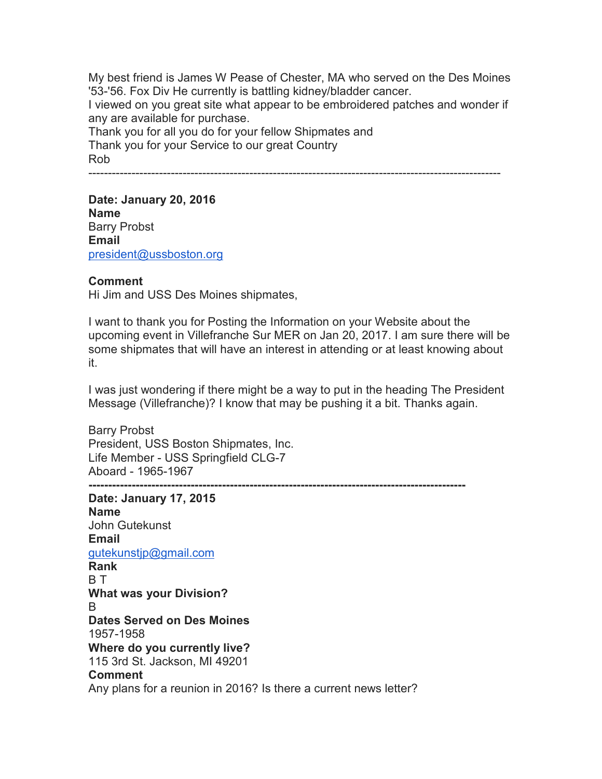My best friend is James W Pease of Chester, MA who served on the Des Moines '53-'56. Fox Div He currently is battling kidney/bladder cancer. I viewed on you great site what appear to be embroidered patches and wonder if any are available for purchase.

Thank you for all you do for your fellow Shipmates and Thank you for your Service to our great Country Rob

---------------------------------------------------------------------------------------------------------

**Date: January 20, 2016 Name** Barry Probst **Email** president@ussboston.org

#### **Comment**

Hi Jim and USS Des Moines shipmates,

I want to thank you for Posting the Information on your Website about the upcoming event in Villefranche Sur MER on Jan 20, 2017. I am sure there will be some shipmates that will have an interest in attending or at least knowing about it.

I was just wondering if there might be a way to put in the heading The President Message (Villefranche)? I know that may be pushing it a bit. Thanks again.

Barry Probst President, USS Boston Shipmates, Inc. Life Member - USS Springfield CLG-7 Aboard - 1965-1967 **------------------------------------------------------------------------------------------------** 

**Date: January 17, 2015 Name** John Gutekunst **Email** gutekunstjp@gmail.com **Rank** B T **What was your Division?** B **Dates Served on Des Moines** 1957-1958 **Where do you currently live?** 115 3rd St. Jackson, MI 49201 **Comment** Any plans for a reunion in 2016? Is there a current news letter?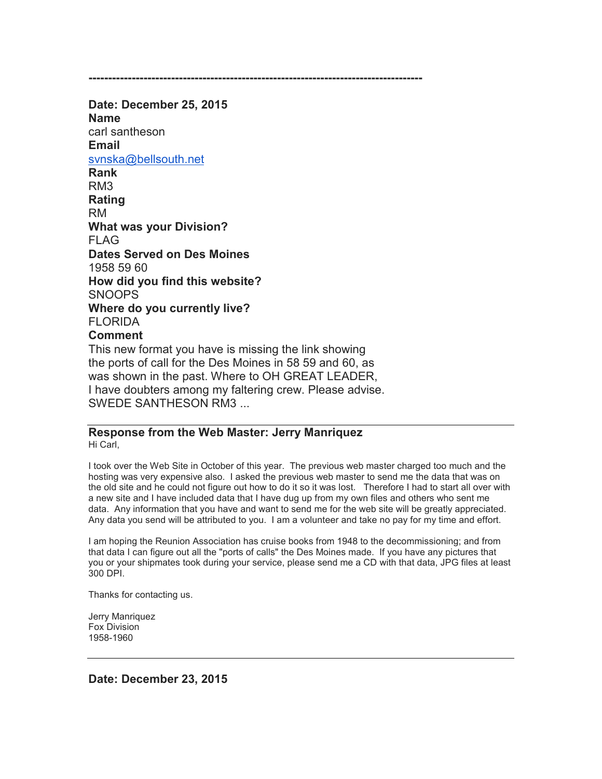**-------------------------------------------------------------------------------------** 

**Date: December 25, 2015 Name** carl santheson **Email** svnska@bellsouth.net **Rank** RM3 **Rating** RM **What was your Division?** FLAG **Dates Served on Des Moines** 1958 59 60 **How did you find this website?** SNOOPS **Where do you currently live? FLORIDA Comment** This new format you have is missing the link showing the ports of call for the Des Moines in 58 59 and 60, as was shown in the past. Where to OH GREAT LEADER, I have doubters among my faltering crew. Please advise. SWEDE SANTHESON RM3 ...

# **Response from the Web Master: Jerry Manriquez**

Hi Carl,

I took over the Web Site in October of this year. The previous web master charged too much and the hosting was very expensive also. I asked the previous web master to send me the data that was on the old site and he could not figure out how to do it so it was lost. Therefore I had to start all over with a new site and I have included data that I have dug up from my own files and others who sent me data. Any information that you have and want to send me for the web site will be greatly appreciated. Any data you send will be attributed to you. I am a volunteer and take no pay for my time and effort.

I am hoping the Reunion Association has cruise books from 1948 to the decommissioning; and from that data I can figure out all the "ports of calls" the Des Moines made. If you have any pictures that you or your shipmates took during your service, please send me a CD with that data, JPG files at least 300 DPI.

Thanks for contacting us.

Jerry Manriquez Fox Division 1958-1960

**Date: December 23, 2015**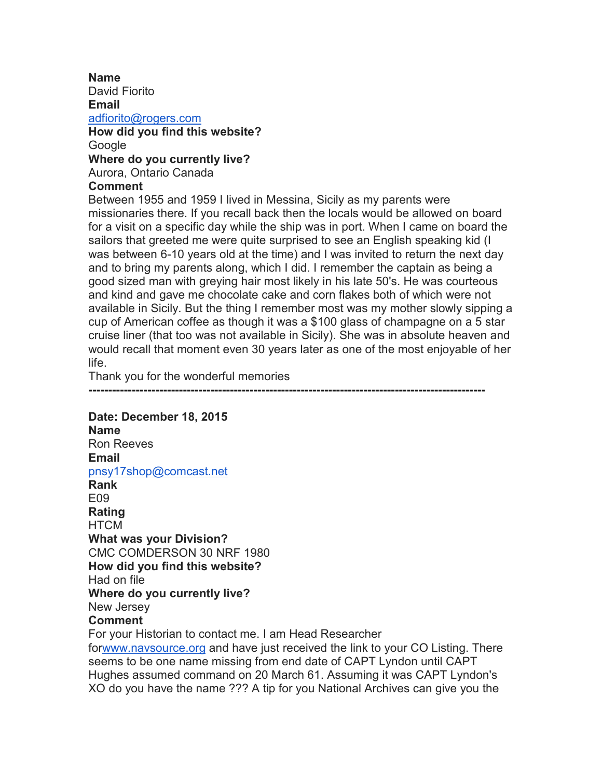**Name** David Fiorito **Email** adfiorito@rogers.com **How did you find this website?** Google **Where do you currently live?** Aurora, Ontario Canada **Comment**

Between 1955 and 1959 I lived in Messina, Sicily as my parents were missionaries there. If you recall back then the locals would be allowed on board for a visit on a specific day while the ship was in port. When I came on board the sailors that greeted me were quite surprised to see an English speaking kid (I was between 6-10 years old at the time) and I was invited to return the next day and to bring my parents along, which I did. I remember the captain as being a good sized man with greying hair most likely in his late 50's. He was courteous and kind and gave me chocolate cake and corn flakes both of which were not available in Sicily. But the thing I remember most was my mother slowly sipping a cup of American coffee as though it was a \$100 glass of champagne on a 5 star cruise liner (that too was not available in Sicily). She was in absolute heaven and would recall that moment even 30 years later as one of the most enjoyable of her life.

Thank you for the wonderful memories

**-----------------------------------------------------------------------------------------------------** 

#### **Date: December 18, 2015 Name** Ron Reeves **Email** pnsy17shop@comcast.net **Rank** E09 **Rating HTCM What was your Division?** CMC COMDERSON 30 NRF 1980 **How did you find this website?** Had on file **Where do you currently live?** New Jersey **Comment** For your Historian to contact me. I am Head Researcher forwww.navsource.org and have just received the link to your CO Listing. There seems to be one name missing from end date of CAPT Lyndon until CAPT Hughes assumed command on 20 March 61. Assuming it was CAPT Lyndon's XO do you have the name ??? A tip for you National Archives can give you the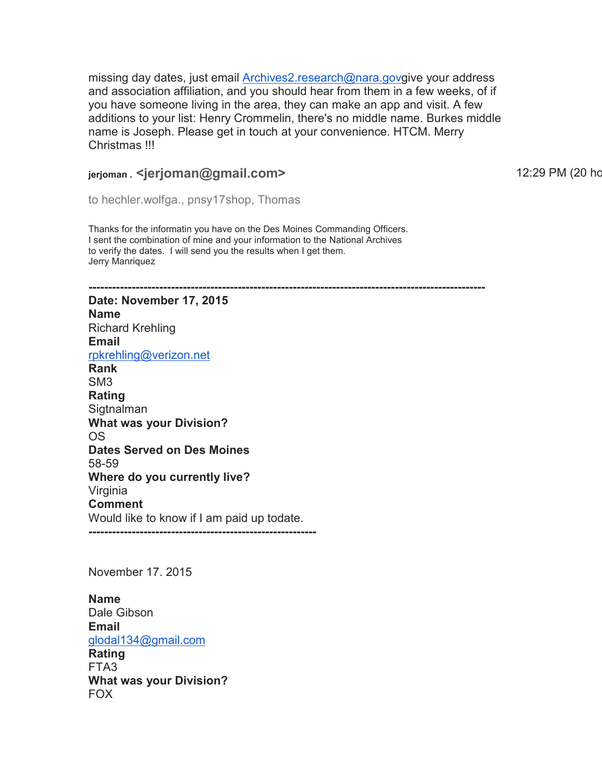missing day dates, just email **Archives2.research@nara.govgive your address** and association affiliation, and you should hear from them in a few weeks, of if you have someone living in the area, they can make an app and visit. A few additions to your list: Henry Crommelin, there's no middle name. Burkes middle name is Joseph. Please get in touch at your convenience. HTCM. Merry Christmas !!!

## **ierioman . <ierioman@gmail.com>** 12:29 PM (20 hours ago 12:29 PM (20 hours ago)

to hechler.wolfga., pnsy17shop, Thomas

Thanks for the informatin you have on the Des Moines Commanding Officers. I sent the combination of mine and your information to the National Archives to verify the dates. I will send you the results when I get them. Jerry Manriquez

**Date: November 17, 2015 Name** Richard Krehling **Email** rpkrehling@verizon.net

**-----------------------------------------------------------------------------------------------------** 

**Rank** SM3 **Rating Sigtnalman What was your Division?** OS **Dates Served on Des Moines** 58-59 **Where do you currently live?** Virginia **Comment** Would like to know if I am paid up todate.

**----------------------------------------------------------** 

November 17. 2015

**Name** Dale Gibson **Email** glodal134@gmail.com **Rating** FTA3 **What was your Division?** FOX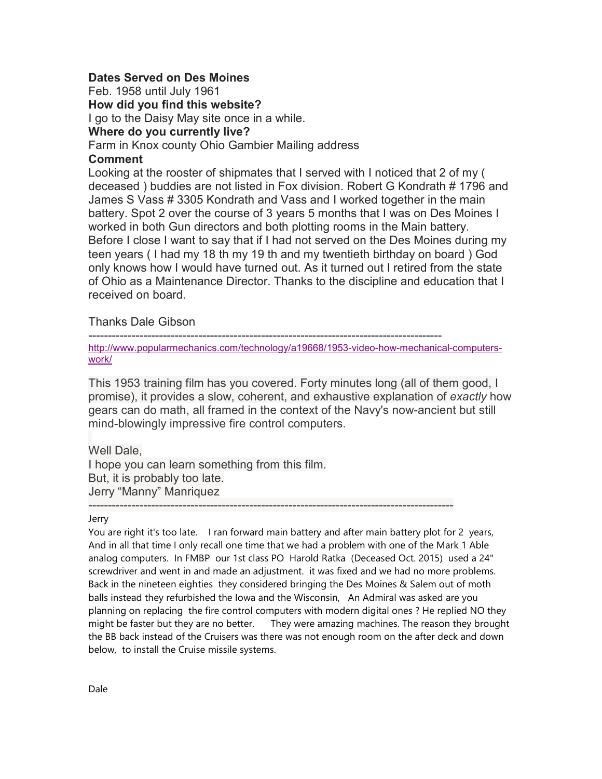#### **Dates Served on Des Moines**

Feb. 1958 until July 1961

**How did you find this website?**

I go to the Daisy May site once in a while.

#### **Where do you currently live?**

#### Farm in Knox county Ohio Gambier Mailing address

#### **Comment**

Looking at the rooster of shipmates that I served with I noticed that 2 of my ( deceased ) buddies are not listed in Fox division. Robert G Kondrath # 1796 and James S Vass # 3305 Kondrath and Vass and I worked together in the main battery. Spot 2 over the course of 3 years 5 months that I was on Des Moines I worked in both Gun directors and both plotting rooms in the Main battery. Before I close I want to say that if I had not served on the Des Moines during my teen years ( I had my 18 th my 19 th and my twentieth birthday on board ) God only knows how I would have turned out. As it turned out I retired from the state of Ohio as a Maintenance Director. Thanks to the discipline and education that I received on board.

Thanks Dale Gibson

------------------------------------------------------------------------------------------

http://www.popularmechanics.com/technology/a19668/1953-video-how-mechanical-computerswork/

This 1953 training film has you covered. Forty minutes long (all of them good, I promise), it provides a slow, coherent, and exhaustive explanation of *exactly* how gears can do math, all framed in the context of the Navy's now-ancient but still mind-blowingly impressive fire control computers.

## Well Dale,

I hope you can learn something from this film. But, it is probably too late. Jerry "Manny" Manriquez

#### ---------------------------------------------------------------------------------------------

#### Jerry

You are right it's too late. I ran forward main battery and after main battery plot for 2 years, And in all that time I only recall one time that we had a problem with one of the Mark 1 Able analog computers. In FMBP our 1st class PO Harold Ratka (Deceased Oct. 2015) used a 24" screwdriver and went in and made an adjustment. it was fixed and we had no more problems. Back in the nineteen eighties they considered bringing the Des Moines & Salem out of moth balls instead they refurbished the Iowa and the Wisconsin, An Admiral was asked are you planning on replacing the fire control computers with modern digital ones ? He replied NO they might be faster but they are no better. They were amazing machines. The reason they brought the BB back instead of the Cruisers was there was not enough room on the after deck and down below, to install the Cruise missile systems.